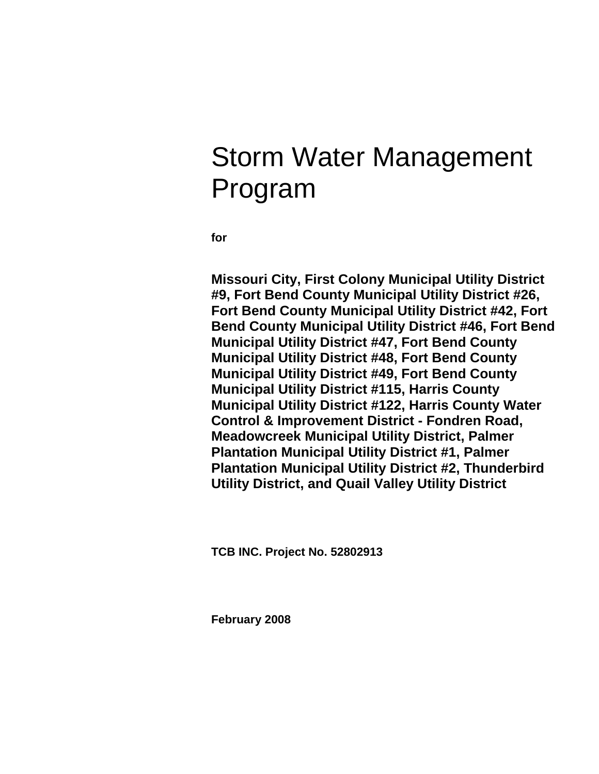# Storm Water Management Program

**for** 

**Missouri City, First Colony Municipal Utility District #9, Fort Bend County Municipal Utility District #26, Fort Bend County Municipal Utility District #42, Fort Bend County Municipal Utility District #46, Fort Bend Municipal Utility District #47, Fort Bend County Municipal Utility District #48, Fort Bend County Municipal Utility District #49, Fort Bend County Municipal Utility District #115, Harris County Municipal Utility District #122, Harris County Water Control & Improvement District - Fondren Road, Meadowcreek Municipal Utility District, Palmer Plantation Municipal Utility District #1, Palmer Plantation Municipal Utility District #2, Thunderbird Utility District, and Quail Valley Utility District** 

**TCB INC. Project No. 52802913** 

**February 2008**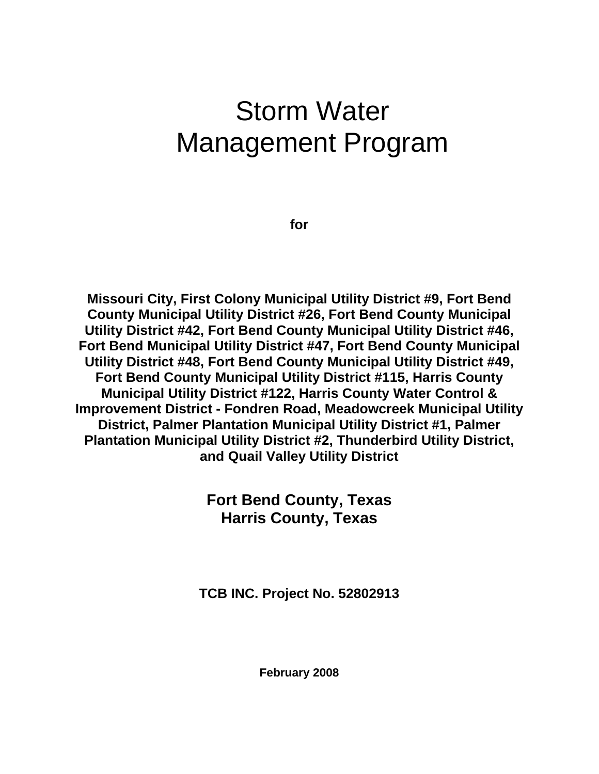# Storm Water Management Program

**for** 

**Missouri City, First Colony Municipal Utility District #9, Fort Bend County Municipal Utility District #26, Fort Bend County Municipal Utility District #42, Fort Bend County Municipal Utility District #46, Fort Bend Municipal Utility District #47, Fort Bend County Municipal Utility District #48, Fort Bend County Municipal Utility District #49, Fort Bend County Municipal Utility District #115, Harris County Municipal Utility District #122, Harris County Water Control & Improvement District - Fondren Road, Meadowcreek Municipal Utility District, Palmer Plantation Municipal Utility District #1, Palmer Plantation Municipal Utility District #2, Thunderbird Utility District, and Quail Valley Utility District** 

> **Fort Bend County, Texas Harris County, Texas**

**TCB INC. Project No. 52802913** 

**February 2008**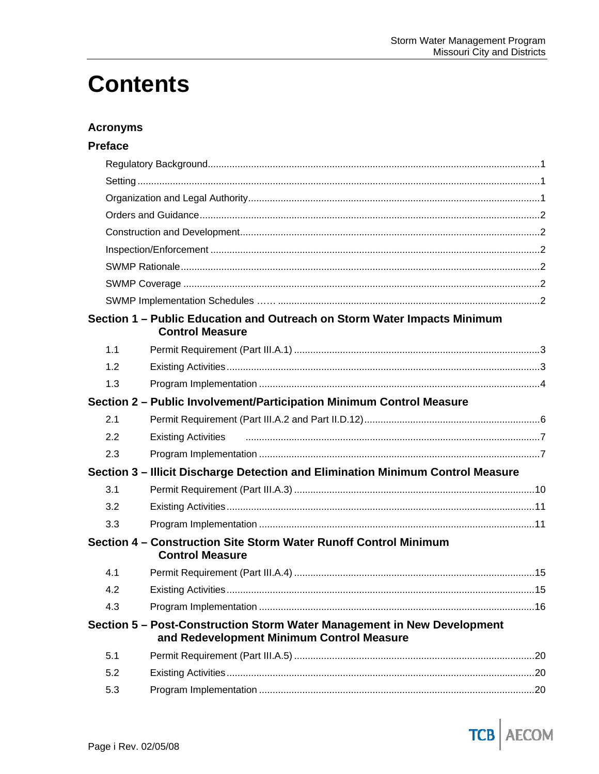# **Contents**

## **Acronyms**

## **Preface**

|     | Section 1 - Public Education and Outreach on Storm Water Impacts Minimum<br><b>Control Measure</b>                   |    |
|-----|----------------------------------------------------------------------------------------------------------------------|----|
| 1.1 |                                                                                                                      |    |
| 1.2 |                                                                                                                      |    |
| 1.3 |                                                                                                                      |    |
|     | Section 2 - Public Involvement/Participation Minimum Control Measure                                                 |    |
| 2.1 |                                                                                                                      |    |
| 2.2 | <b>Existing Activities</b>                                                                                           |    |
| 2.3 |                                                                                                                      |    |
|     | Section 3 - Illicit Discharge Detection and Elimination Minimum Control Measure                                      |    |
| 3.1 |                                                                                                                      |    |
| 3.2 |                                                                                                                      |    |
| 3.3 |                                                                                                                      |    |
|     | Section 4 – Construction Site Storm Water Runoff Control Minimum<br><b>Control Measure</b>                           |    |
| 4.1 |                                                                                                                      |    |
| 4.2 |                                                                                                                      | 15 |
| 4.3 |                                                                                                                      |    |
|     | Section 5 - Post-Construction Storm Water Management in New Development<br>and Redevelopment Minimum Control Measure |    |
| 5.1 |                                                                                                                      |    |
| 5.2 |                                                                                                                      |    |
| 5.3 |                                                                                                                      |    |

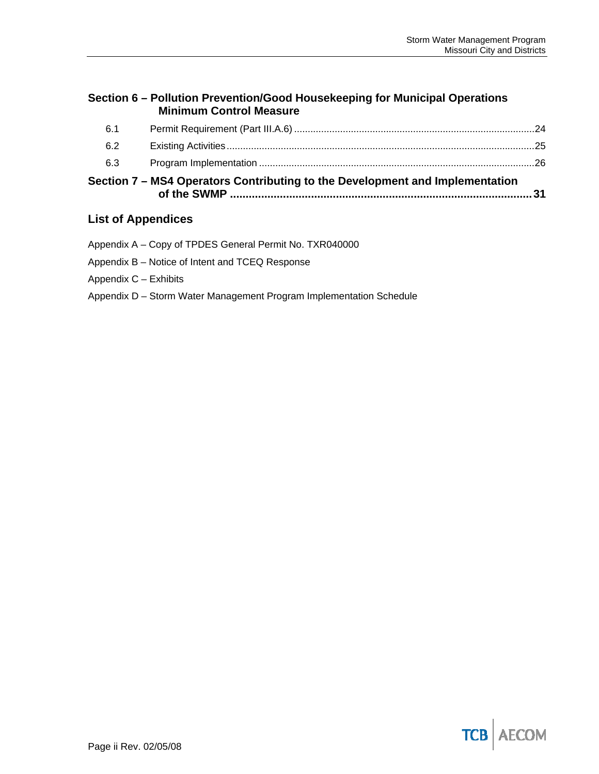## **Section 6 – Pollution Prevention/Good Housekeeping for Municipal Operations Minimum Control Measure**

|     | Section 7 – MS4 Operators Contributing to the Development and Implementation |  |
|-----|------------------------------------------------------------------------------|--|
| 6.3 |                                                                              |  |
| 6.2 |                                                                              |  |
| 6.1 |                                                                              |  |

## **List of Appendices**

Appendix A – Copy of TPDES General Permit No. TXR040000

Appendix B – Notice of Intent and TCEQ Response

Appendix C – Exhibits

Appendix D – Storm Water Management Program Implementation Schedule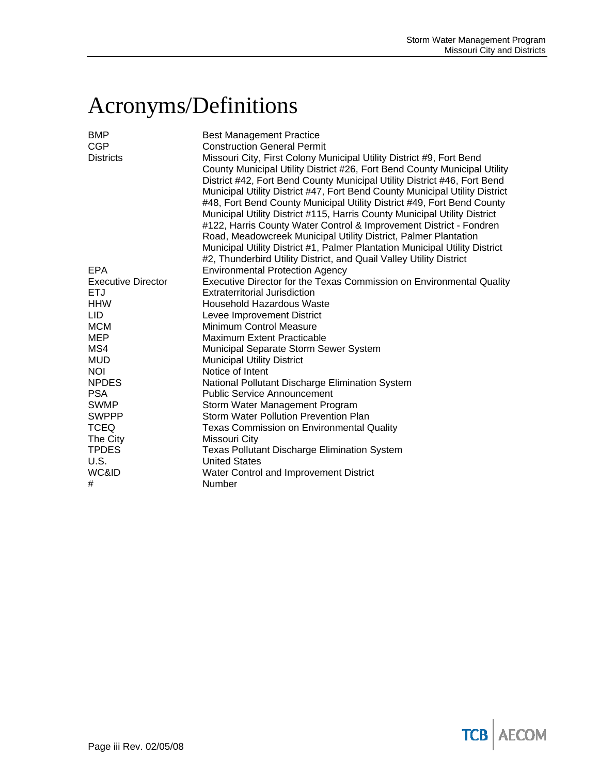# Acronyms/Definitions

| <b>BMP</b><br><b>CGP</b><br><b>Districts</b> | <b>Best Management Practice</b><br><b>Construction General Permit</b><br>Missouri City, First Colony Municipal Utility District #9, Fort Bend<br>County Municipal Utility District #26, Fort Bend County Municipal Utility<br>District #42, Fort Bend County Municipal Utility District #46, Fort Bend<br>Municipal Utility District #47, Fort Bend County Municipal Utility District<br>#48, Fort Bend County Municipal Utility District #49, Fort Bend County<br>Municipal Utility District #115, Harris County Municipal Utility District<br>#122, Harris County Water Control & Improvement District - Fondren<br>Road, Meadowcreek Municipal Utility District, Palmer Plantation<br>Municipal Utility District #1, Palmer Plantation Municipal Utility District<br>#2, Thunderbird Utility District, and Quail Valley Utility District |
|----------------------------------------------|---------------------------------------------------------------------------------------------------------------------------------------------------------------------------------------------------------------------------------------------------------------------------------------------------------------------------------------------------------------------------------------------------------------------------------------------------------------------------------------------------------------------------------------------------------------------------------------------------------------------------------------------------------------------------------------------------------------------------------------------------------------------------------------------------------------------------------------------|
| EPA                                          | <b>Environmental Protection Agency</b>                                                                                                                                                                                                                                                                                                                                                                                                                                                                                                                                                                                                                                                                                                                                                                                                      |
| <b>Executive Director</b>                    | Executive Director for the Texas Commission on Environmental Quality                                                                                                                                                                                                                                                                                                                                                                                                                                                                                                                                                                                                                                                                                                                                                                        |
| <b>ETJ</b>                                   | <b>Extraterritorial Jurisdiction</b>                                                                                                                                                                                                                                                                                                                                                                                                                                                                                                                                                                                                                                                                                                                                                                                                        |
| <b>HHW</b>                                   | <b>Household Hazardous Waste</b>                                                                                                                                                                                                                                                                                                                                                                                                                                                                                                                                                                                                                                                                                                                                                                                                            |
| <b>LID</b>                                   | Levee Improvement District                                                                                                                                                                                                                                                                                                                                                                                                                                                                                                                                                                                                                                                                                                                                                                                                                  |
| <b>MCM</b>                                   | <b>Minimum Control Measure</b>                                                                                                                                                                                                                                                                                                                                                                                                                                                                                                                                                                                                                                                                                                                                                                                                              |
| MEP                                          | <b>Maximum Extent Practicable</b>                                                                                                                                                                                                                                                                                                                                                                                                                                                                                                                                                                                                                                                                                                                                                                                                           |
| MS4                                          | Municipal Separate Storm Sewer System                                                                                                                                                                                                                                                                                                                                                                                                                                                                                                                                                                                                                                                                                                                                                                                                       |
| <b>MUD</b>                                   | <b>Municipal Utility District</b>                                                                                                                                                                                                                                                                                                                                                                                                                                                                                                                                                                                                                                                                                                                                                                                                           |
| <b>NOI</b>                                   | Notice of Intent                                                                                                                                                                                                                                                                                                                                                                                                                                                                                                                                                                                                                                                                                                                                                                                                                            |
| <b>NPDES</b>                                 | National Pollutant Discharge Elimination System                                                                                                                                                                                                                                                                                                                                                                                                                                                                                                                                                                                                                                                                                                                                                                                             |
| <b>PSA</b>                                   | <b>Public Service Announcement</b>                                                                                                                                                                                                                                                                                                                                                                                                                                                                                                                                                                                                                                                                                                                                                                                                          |
| <b>SWMP</b>                                  | Storm Water Management Program                                                                                                                                                                                                                                                                                                                                                                                                                                                                                                                                                                                                                                                                                                                                                                                                              |
| <b>SWPPP</b>                                 | <b>Storm Water Pollution Prevention Plan</b>                                                                                                                                                                                                                                                                                                                                                                                                                                                                                                                                                                                                                                                                                                                                                                                                |
| <b>TCEQ</b>                                  | <b>Texas Commission on Environmental Quality</b>                                                                                                                                                                                                                                                                                                                                                                                                                                                                                                                                                                                                                                                                                                                                                                                            |
| The City                                     | Missouri City                                                                                                                                                                                                                                                                                                                                                                                                                                                                                                                                                                                                                                                                                                                                                                                                                               |
| <b>TPDES</b>                                 | Texas Pollutant Discharge Elimination System                                                                                                                                                                                                                                                                                                                                                                                                                                                                                                                                                                                                                                                                                                                                                                                                |
| U.S.                                         | <b>United States</b>                                                                                                                                                                                                                                                                                                                                                                                                                                                                                                                                                                                                                                                                                                                                                                                                                        |
| WC&ID                                        | Water Control and Improvement District                                                                                                                                                                                                                                                                                                                                                                                                                                                                                                                                                                                                                                                                                                                                                                                                      |
| #                                            | Number                                                                                                                                                                                                                                                                                                                                                                                                                                                                                                                                                                                                                                                                                                                                                                                                                                      |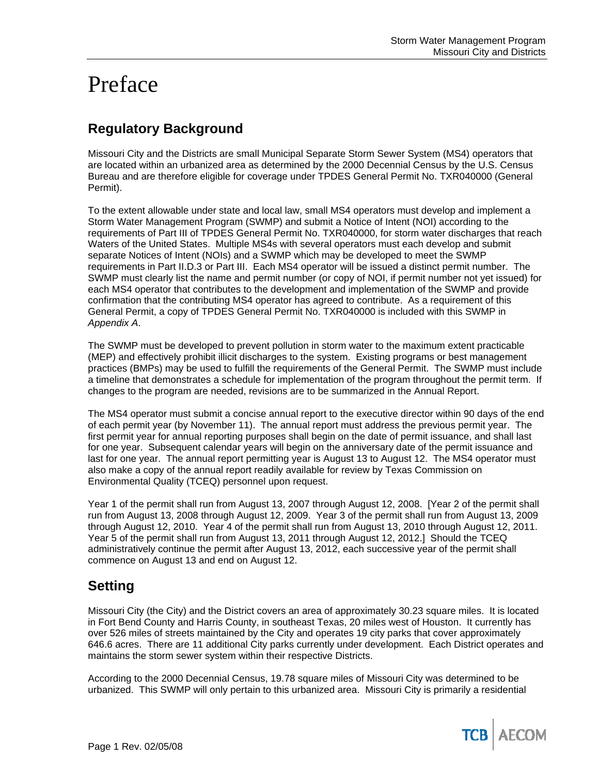# Preface

# **Regulatory Background**

Missouri City and the Districts are small Municipal Separate Storm Sewer System (MS4) operators that are located within an urbanized area as determined by the 2000 Decennial Census by the U.S. Census Bureau and are therefore eligible for coverage under TPDES General Permit No. TXR040000 (General Permit).

To the extent allowable under state and local law, small MS4 operators must develop and implement a Storm Water Management Program (SWMP) and submit a Notice of Intent (NOI) according to the requirements of Part III of TPDES General Permit No. TXR040000, for storm water discharges that reach Waters of the United States. Multiple MS4s with several operators must each develop and submit separate Notices of Intent (NOIs) and a SWMP which may be developed to meet the SWMP requirements in Part II.D.3 or Part III. Each MS4 operator will be issued a distinct permit number. The SWMP must clearly list the name and permit number (or copy of NOI, if permit number not yet issued) for each MS4 operator that contributes to the development and implementation of the SWMP and provide confirmation that the contributing MS4 operator has agreed to contribute. As a requirement of this General Permit, a copy of TPDES General Permit No. TXR040000 is included with this SWMP in *Appendix A*.

The SWMP must be developed to prevent pollution in storm water to the maximum extent practicable (MEP) and effectively prohibit illicit discharges to the system. Existing programs or best management practices (BMPs) may be used to fulfill the requirements of the General Permit. The SWMP must include a timeline that demonstrates a schedule for implementation of the program throughout the permit term. If changes to the program are needed, revisions are to be summarized in the Annual Report.

The MS4 operator must submit a concise annual report to the executive director within 90 days of the end of each permit year (by November 11). The annual report must address the previous permit year. The first permit year for annual reporting purposes shall begin on the date of permit issuance, and shall last for one year. Subsequent calendar years will begin on the anniversary date of the permit issuance and last for one year. The annual report permitting year is August 13 to August 12. The MS4 operator must also make a copy of the annual report readily available for review by Texas Commission on Environmental Quality (TCEQ) personnel upon request.

Year 1 of the permit shall run from August 13, 2007 through August 12, 2008. [Year 2 of the permit shall run from August 13, 2008 through August 12, 2009. Year 3 of the permit shall run from August 13, 2009 through August 12, 2010. Year 4 of the permit shall run from August 13, 2010 through August 12, 2011. Year 5 of the permit shall run from August 13, 2011 through August 12, 2012.] Should the TCEQ administratively continue the permit after August 13, 2012, each successive year of the permit shall commence on August 13 and end on August 12.

# **Setting**

Missouri City (the City) and the District covers an area of approximately 30.23 square miles. It is located in Fort Bend County and Harris County, in southeast Texas, 20 miles west of Houston. It currently has over 526 miles of streets maintained by the City and operates 19 city parks that cover approximately 646.6 acres. There are 11 additional City parks currently under development. Each District operates and maintains the storm sewer system within their respective Districts.

According to the 2000 Decennial Census, 19.78 square miles of Missouri City was determined to be urbanized. This SWMP will only pertain to this urbanized area. Missouri City is primarily a residential

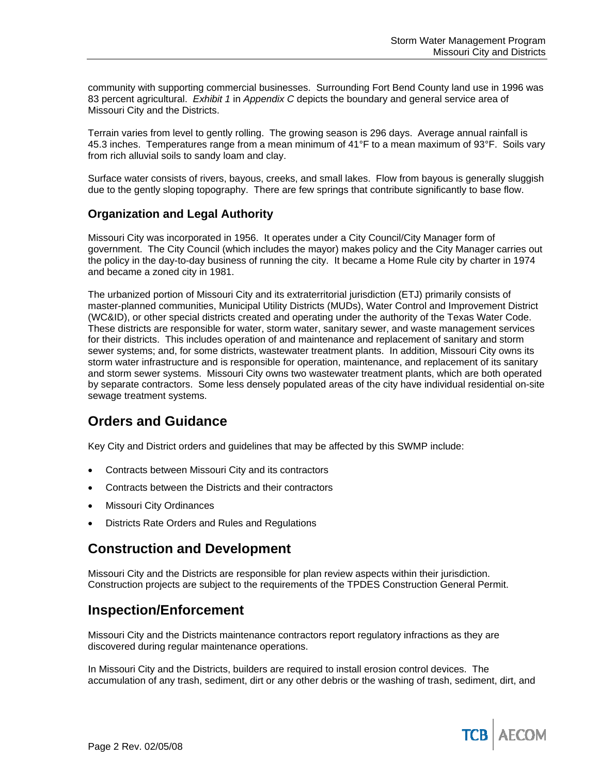community with supporting commercial businesses. Surrounding Fort Bend County land use in 1996 was 83 percent agricultural. *Exhibit 1* in *Appendix C* depicts the boundary and general service area of Missouri City and the Districts.

Terrain varies from level to gently rolling. The growing season is 296 days. Average annual rainfall is 45.3 inches. Temperatures range from a mean minimum of 41°F to a mean maximum of 93°F. Soils vary from rich alluvial soils to sandy loam and clay.

Surface water consists of rivers, bayous, creeks, and small lakes. Flow from bayous is generally sluggish due to the gently sloping topography. There are few springs that contribute significantly to base flow.

## **Organization and Legal Authority**

Missouri City was incorporated in 1956. It operates under a City Council/City Manager form of government. The City Council (which includes the mayor) makes policy and the City Manager carries out the policy in the day-to-day business of running the city. It became a Home Rule city by charter in 1974 and became a zoned city in 1981.

The urbanized portion of Missouri City and its extraterritorial jurisdiction (ETJ) primarily consists of master-planned communities, Municipal Utility Districts (MUDs), Water Control and Improvement District (WC&ID), or other special districts created and operating under the authority of the Texas Water Code. These districts are responsible for water, storm water, sanitary sewer, and waste management services for their districts. This includes operation of and maintenance and replacement of sanitary and storm sewer systems; and, for some districts, wastewater treatment plants. In addition, Missouri City owns its storm water infrastructure and is responsible for operation, maintenance, and replacement of its sanitary and storm sewer systems. Missouri City owns two wastewater treatment plants, which are both operated by separate contractors. Some less densely populated areas of the city have individual residential on-site sewage treatment systems.

## **Orders and Guidance**

Key City and District orders and guidelines that may be affected by this SWMP include:

- Contracts between Missouri City and its contractors
- Contracts between the Districts and their contractors
- **Missouri City Ordinances**
- Districts Rate Orders and Rules and Regulations

## **Construction and Development**

Missouri City and the Districts are responsible for plan review aspects within their jurisdiction. Construction projects are subject to the requirements of the TPDES Construction General Permit.

## **Inspection/Enforcement**

Missouri City and the Districts maintenance contractors report regulatory infractions as they are discovered during regular maintenance operations.

In Missouri City and the Districts, builders are required to install erosion control devices. The accumulation of any trash, sediment, dirt or any other debris or the washing of trash, sediment, dirt, and

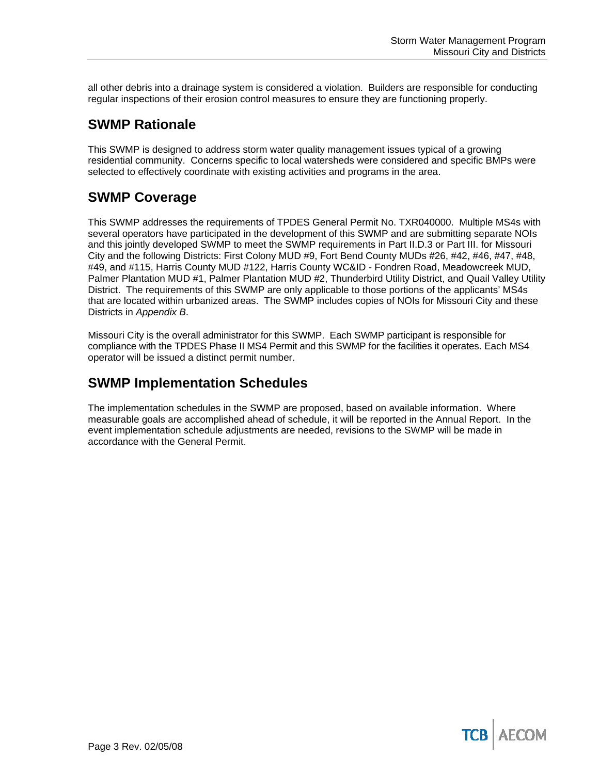all other debris into a drainage system is considered a violation. Builders are responsible for conducting regular inspections of their erosion control measures to ensure they are functioning properly.

# **SWMP Rationale**

This SWMP is designed to address storm water quality management issues typical of a growing residential community. Concerns specific to local watersheds were considered and specific BMPs were selected to effectively coordinate with existing activities and programs in the area.

# **SWMP Coverage**

This SWMP addresses the requirements of TPDES General Permit No. TXR040000. Multiple MS4s with several operators have participated in the development of this SWMP and are submitting separate NOIs and this jointly developed SWMP to meet the SWMP requirements in Part II.D.3 or Part III. for Missouri City and the following Districts: First Colony MUD #9, Fort Bend County MUDs #26, #42, #46, #47, #48, #49, and #115, Harris County MUD #122, Harris County WC&ID - Fondren Road, Meadowcreek MUD, Palmer Plantation MUD #1, Palmer Plantation MUD #2, Thunderbird Utility District, and Quail Valley Utility District. The requirements of this SWMP are only applicable to those portions of the applicants' MS4s that are located within urbanized areas. The SWMP includes copies of NOIs for Missouri City and these Districts in *Appendix B*.

Missouri City is the overall administrator for this SWMP. Each SWMP participant is responsible for compliance with the TPDES Phase II MS4 Permit and this SWMP for the facilities it operates. Each MS4 operator will be issued a distinct permit number.

# **SWMP Implementation Schedules**

The implementation schedules in the SWMP are proposed, based on available information. Where measurable goals are accomplished ahead of schedule, it will be reported in the Annual Report. In the event implementation schedule adjustments are needed, revisions to the SWMP will be made in accordance with the General Permit.

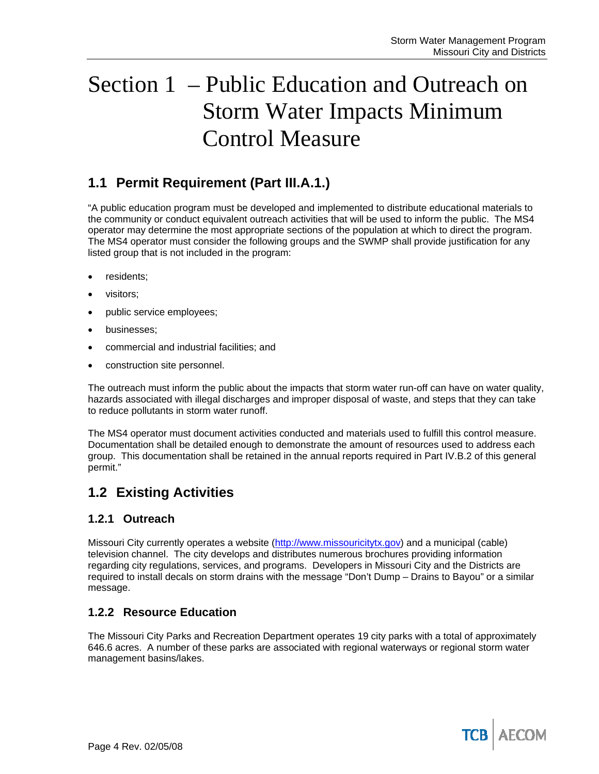# Section 1 – Public Education and Outreach on Storm Water Impacts Minimum Control Measure

## **1.1 Permit Requirement (Part III.A.1.)**

"A public education program must be developed and implemented to distribute educational materials to the community or conduct equivalent outreach activities that will be used to inform the public. The MS4 operator may determine the most appropriate sections of the population at which to direct the program. The MS4 operator must consider the following groups and the SWMP shall provide justification for any listed group that is not included in the program:

- residents;
- visitors;
- public service employees;
- businesses;
- commercial and industrial facilities; and
- construction site personnel.

The outreach must inform the public about the impacts that storm water run-off can have on water quality, hazards associated with illegal discharges and improper disposal of waste, and steps that they can take to reduce pollutants in storm water runoff.

The MS4 operator must document activities conducted and materials used to fulfill this control measure. Documentation shall be detailed enough to demonstrate the amount of resources used to address each group. This documentation shall be retained in the annual reports required in Part IV.B.2 of this general permit."

# **1.2 Existing Activities**

## **1.2.1 Outreach**

Missouri City currently operates a website (http://www.missouricitytx.gov) and a municipal (cable) television channel. The city develops and distributes numerous brochures providing information regarding city regulations, services, and programs. Developers in Missouri City and the Districts are required to install decals on storm drains with the message "Don't Dump – Drains to Bayou" or a similar message.

## **1.2.2 Resource Education**

The Missouri City Parks and Recreation Department operates 19 city parks with a total of approximately 646.6 acres. A number of these parks are associated with regional waterways or regional storm water management basins/lakes.

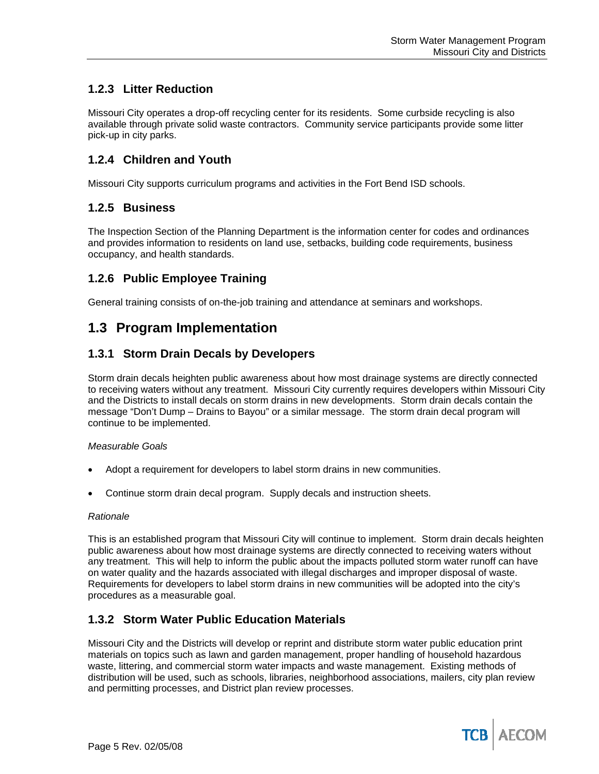## **1.2.3 Litter Reduction**

Missouri City operates a drop-off recycling center for its residents. Some curbside recycling is also available through private solid waste contractors. Community service participants provide some litter pick-up in city parks.

## **1.2.4 Children and Youth**

Missouri City supports curriculum programs and activities in the Fort Bend ISD schools.

## **1.2.5 Business**

The Inspection Section of the Planning Department is the information center for codes and ordinances and provides information to residents on land use, setbacks, building code requirements, business occupancy, and health standards.

## **1.2.6 Public Employee Training**

General training consists of on-the-job training and attendance at seminars and workshops.

## **1.3 Program Implementation**

## **1.3.1 Storm Drain Decals by Developers**

Storm drain decals heighten public awareness about how most drainage systems are directly connected to receiving waters without any treatment. Missouri City currently requires developers within Missouri City and the Districts to install decals on storm drains in new developments. Storm drain decals contain the message "Don't Dump – Drains to Bayou" or a similar message. The storm drain decal program will continue to be implemented.

#### *Measurable Goals*

- Adopt a requirement for developers to label storm drains in new communities.
- Continue storm drain decal program. Supply decals and instruction sheets.

#### *Rationale*

This is an established program that Missouri City will continue to implement. Storm drain decals heighten public awareness about how most drainage systems are directly connected to receiving waters without any treatment. This will help to inform the public about the impacts polluted storm water runoff can have on water quality and the hazards associated with illegal discharges and improper disposal of waste. Requirements for developers to label storm drains in new communities will be adopted into the city's procedures as a measurable goal.

## **1.3.2 Storm Water Public Education Materials**

Missouri City and the Districts will develop or reprint and distribute storm water public education print materials on topics such as lawn and garden management, proper handling of household hazardous waste, littering, and commercial storm water impacts and waste management. Existing methods of distribution will be used, such as schools, libraries, neighborhood associations, mailers, city plan review and permitting processes, and District plan review processes.

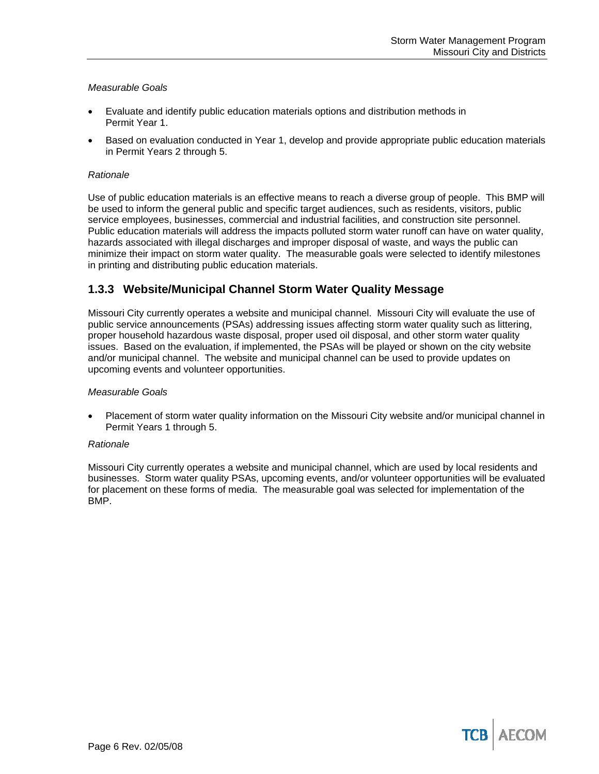#### *Measurable Goals*

- Evaluate and identify public education materials options and distribution methods in Permit Year 1.
- Based on evaluation conducted in Year 1, develop and provide appropriate public education materials in Permit Years 2 through 5.

#### *Rationale*

Use of public education materials is an effective means to reach a diverse group of people. This BMP will be used to inform the general public and specific target audiences, such as residents, visitors, public service employees, businesses, commercial and industrial facilities, and construction site personnel. Public education materials will address the impacts polluted storm water runoff can have on water quality, hazards associated with illegal discharges and improper disposal of waste, and ways the public can minimize their impact on storm water quality. The measurable goals were selected to identify milestones in printing and distributing public education materials.

## **1.3.3 Website/Municipal Channel Storm Water Quality Message**

Missouri City currently operates a website and municipal channel. Missouri City will evaluate the use of public service announcements (PSAs) addressing issues affecting storm water quality such as littering, proper household hazardous waste disposal, proper used oil disposal, and other storm water quality issues. Based on the evaluation, if implemented, the PSAs will be played or shown on the city website and/or municipal channel. The website and municipal channel can be used to provide updates on upcoming events and volunteer opportunities.

#### *Measurable Goals*

• Placement of storm water quality information on the Missouri City website and/or municipal channel in Permit Years 1 through 5.

#### *Rationale*

Missouri City currently operates a website and municipal channel, which are used by local residents and businesses. Storm water quality PSAs, upcoming events, and/or volunteer opportunities will be evaluated for placement on these forms of media. The measurable goal was selected for implementation of the BMP.

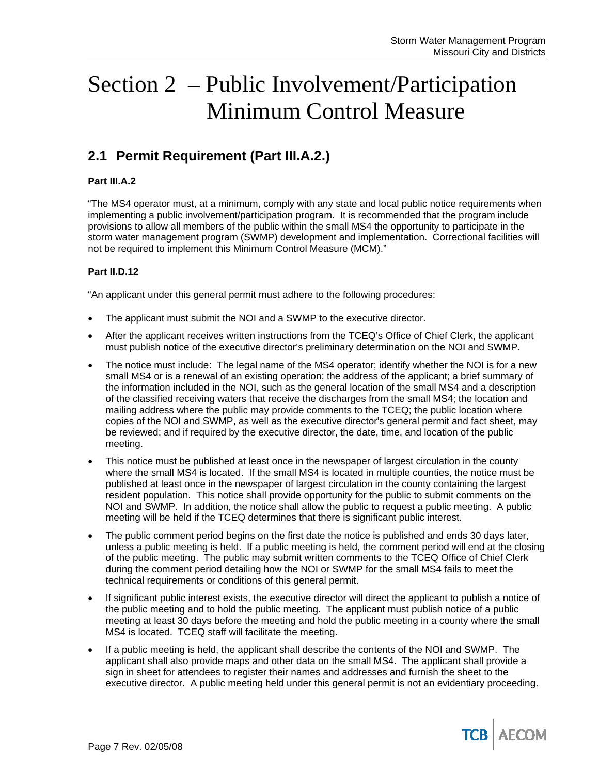# Section 2 – Public Involvement/Participation Minimum Control Measure

# **2.1 Permit Requirement (Part III.A.2.)**

### **Part III.A.2**

"The MS4 operator must, at a minimum, comply with any state and local public notice requirements when implementing a public involvement/participation program. It is recommended that the program include provisions to allow all members of the public within the small MS4 the opportunity to participate in the storm water management program (SWMP) development and implementation. Correctional facilities will not be required to implement this Minimum Control Measure (MCM)."

### **Part II.D.12**

"An applicant under this general permit must adhere to the following procedures:

- The applicant must submit the NOI and a SWMP to the executive director.
- After the applicant receives written instructions from the TCEQ's Office of Chief Clerk, the applicant must publish notice of the executive director's preliminary determination on the NOI and SWMP.
- The notice must include: The legal name of the MS4 operator; identify whether the NOI is for a new small MS4 or is a renewal of an existing operation; the address of the applicant; a brief summary of the information included in the NOI, such as the general location of the small MS4 and a description of the classified receiving waters that receive the discharges from the small MS4; the location and mailing address where the public may provide comments to the TCEQ; the public location where copies of the NOI and SWMP, as well as the executive director's general permit and fact sheet, may be reviewed; and if required by the executive director, the date, time, and location of the public meeting.
- This notice must be published at least once in the newspaper of largest circulation in the county where the small MS4 is located. If the small MS4 is located in multiple counties, the notice must be published at least once in the newspaper of largest circulation in the county containing the largest resident population. This notice shall provide opportunity for the public to submit comments on the NOI and SWMP. In addition, the notice shall allow the public to request a public meeting. A public meeting will be held if the TCEQ determines that there is significant public interest.
- The public comment period begins on the first date the notice is published and ends 30 days later, unless a public meeting is held. If a public meeting is held, the comment period will end at the closing of the public meeting. The public may submit written comments to the TCEQ Office of Chief Clerk during the comment period detailing how the NOI or SWMP for the small MS4 fails to meet the technical requirements or conditions of this general permit.
- If significant public interest exists, the executive director will direct the applicant to publish a notice of the public meeting and to hold the public meeting. The applicant must publish notice of a public meeting at least 30 days before the meeting and hold the public meeting in a county where the small MS4 is located. TCEQ staff will facilitate the meeting.
- If a public meeting is held, the applicant shall describe the contents of the NOI and SWMP. The applicant shall also provide maps and other data on the small MS4. The applicant shall provide a sign in sheet for attendees to register their names and addresses and furnish the sheet to the executive director. A public meeting held under this general permit is not an evidentiary proceeding.

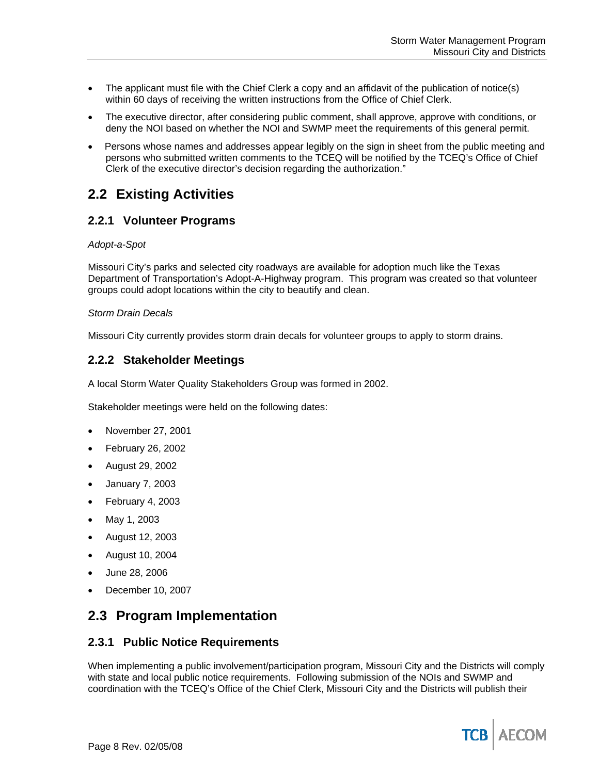- The applicant must file with the Chief Clerk a copy and an affidavit of the publication of notice(s) within 60 days of receiving the written instructions from the Office of Chief Clerk.
- The executive director, after considering public comment, shall approve, approve with conditions, or deny the NOI based on whether the NOI and SWMP meet the requirements of this general permit.
- Persons whose names and addresses appear legibly on the sign in sheet from the public meeting and persons who submitted written comments to the TCEQ will be notified by the TCEQ's Office of Chief Clerk of the executive director's decision regarding the authorization."

## **2.2 Existing Activities**

## **2.2.1 Volunteer Programs**

#### *Adopt-a-Spot*

Missouri City's parks and selected city roadways are available for adoption much like the Texas Department of Transportation's Adopt-A-Highway program. This program was created so that volunteer groups could adopt locations within the city to beautify and clean.

#### *Storm Drain Decals*

Missouri City currently provides storm drain decals for volunteer groups to apply to storm drains.

## **2.2.2 Stakeholder Meetings**

A local Storm Water Quality Stakeholders Group was formed in 2002.

Stakeholder meetings were held on the following dates:

- November 27, 2001
- February 26, 2002
- August 29, 2002
- January 7, 2003
- February 4, 2003
- May 1, 2003
- August 12, 2003
- August 10, 2004
- June 28, 2006
- December 10, 2007

## **2.3 Program Implementation**

## **2.3.1 Public Notice Requirements**

When implementing a public involvement/participation program, Missouri City and the Districts will comply with state and local public notice requirements. Following submission of the NOIs and SWMP and coordination with the TCEQ's Office of the Chief Clerk, Missouri City and the Districts will publish their

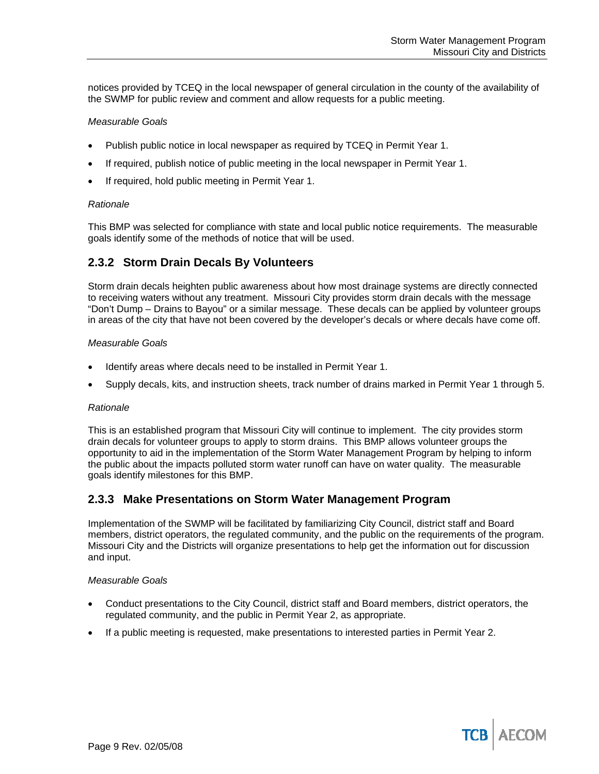notices provided by TCEQ in the local newspaper of general circulation in the county of the availability of the SWMP for public review and comment and allow requests for a public meeting.

#### *Measurable Goals*

- Publish public notice in local newspaper as required by TCEQ in Permit Year 1.
- If required, publish notice of public meeting in the local newspaper in Permit Year 1.
- If required, hold public meeting in Permit Year 1.

#### *Rationale*

This BMP was selected for compliance with state and local public notice requirements. The measurable goals identify some of the methods of notice that will be used.

## **2.3.2 Storm Drain Decals By Volunteers**

Storm drain decals heighten public awareness about how most drainage systems are directly connected to receiving waters without any treatment. Missouri City provides storm drain decals with the message "Don't Dump – Drains to Bayou" or a similar message. These decals can be applied by volunteer groups in areas of the city that have not been covered by the developer's decals or where decals have come off.

#### *Measurable Goals*

- Identify areas where decals need to be installed in Permit Year 1.
- Supply decals, kits, and instruction sheets, track number of drains marked in Permit Year 1 through 5.

#### *Rationale*

This is an established program that Missouri City will continue to implement. The city provides storm drain decals for volunteer groups to apply to storm drains. This BMP allows volunteer groups the opportunity to aid in the implementation of the Storm Water Management Program by helping to inform the public about the impacts polluted storm water runoff can have on water quality. The measurable goals identify milestones for this BMP.

## **2.3.3 Make Presentations on Storm Water Management Program**

Implementation of the SWMP will be facilitated by familiarizing City Council, district staff and Board members, district operators, the regulated community, and the public on the requirements of the program. Missouri City and the Districts will organize presentations to help get the information out for discussion and input.

#### *Measurable Goals*

- Conduct presentations to the City Council, district staff and Board members, district operators, the regulated community, and the public in Permit Year 2, as appropriate.
- If a public meeting is requested, make presentations to interested parties in Permit Year 2.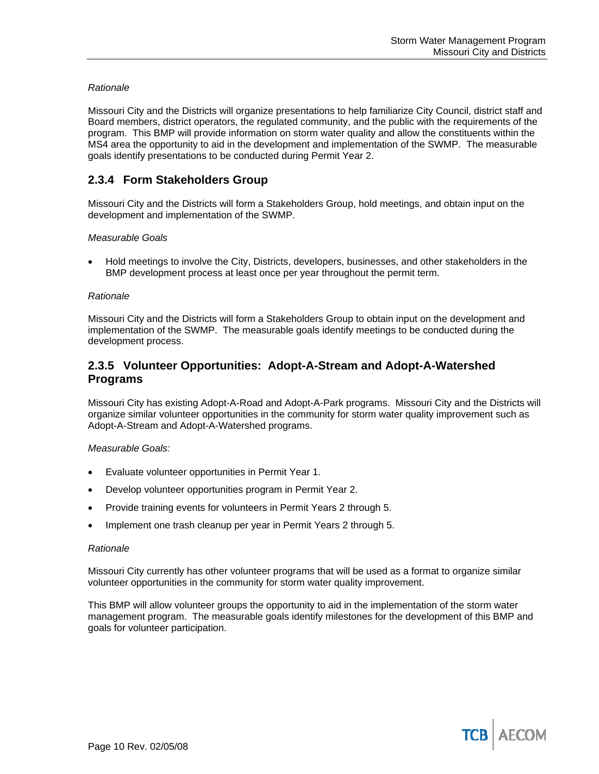#### *Rationale*

Missouri City and the Districts will organize presentations to help familiarize City Council, district staff and Board members, district operators, the regulated community, and the public with the requirements of the program. This BMP will provide information on storm water quality and allow the constituents within the MS4 area the opportunity to aid in the development and implementation of the SWMP. The measurable goals identify presentations to be conducted during Permit Year 2.

## **2.3.4 Form Stakeholders Group**

Missouri City and the Districts will form a Stakeholders Group, hold meetings, and obtain input on the development and implementation of the SWMP.

#### *Measurable Goals*

• Hold meetings to involve the City, Districts, developers, businesses, and other stakeholders in the BMP development process at least once per year throughout the permit term.

#### *Rationale*

Missouri City and the Districts will form a Stakeholders Group to obtain input on the development and implementation of the SWMP. The measurable goals identify meetings to be conducted during the development process.

## **2.3.5 Volunteer Opportunities: Adopt-A-Stream and Adopt-A-Watershed Programs**

Missouri City has existing Adopt-A-Road and Adopt-A-Park programs. Missouri City and the Districts will organize similar volunteer opportunities in the community for storm water quality improvement such as Adopt-A-Stream and Adopt-A-Watershed programs.

#### *Measurable Goals:*

- Evaluate volunteer opportunities in Permit Year 1.
- Develop volunteer opportunities program in Permit Year 2.
- Provide training events for volunteers in Permit Years 2 through 5.
- Implement one trash cleanup per year in Permit Years 2 through 5.

#### *Rationale*

Missouri City currently has other volunteer programs that will be used as a format to organize similar volunteer opportunities in the community for storm water quality improvement.

This BMP will allow volunteer groups the opportunity to aid in the implementation of the storm water management program. The measurable goals identify milestones for the development of this BMP and goals for volunteer participation.

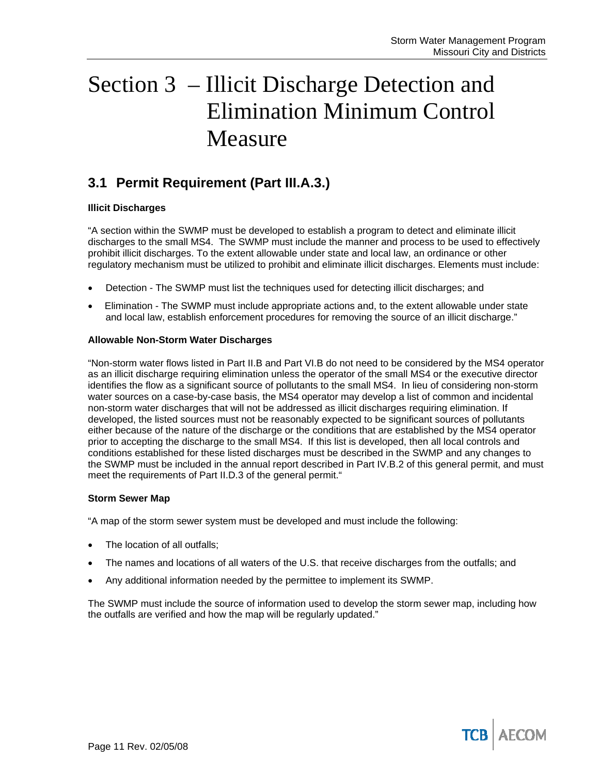# Section 3 – Illicit Discharge Detection and Elimination Minimum Control Measure

## **3.1 Permit Requirement (Part III.A.3.)**

#### **Illicit Discharges**

"A section within the SWMP must be developed to establish a program to detect and eliminate illicit discharges to the small MS4. The SWMP must include the manner and process to be used to effectively prohibit illicit discharges. To the extent allowable under state and local law, an ordinance or other regulatory mechanism must be utilized to prohibit and eliminate illicit discharges. Elements must include:

- Detection The SWMP must list the techniques used for detecting illicit discharges; and
- Elimination The SWMP must include appropriate actions and, to the extent allowable under state and local law, establish enforcement procedures for removing the source of an illicit discharge."

#### **Allowable Non-Storm Water Discharges**

"Non-storm water flows listed in Part II.B and Part VI.B do not need to be considered by the MS4 operator as an illicit discharge requiring elimination unless the operator of the small MS4 or the executive director identifies the flow as a significant source of pollutants to the small MS4. In lieu of considering non-storm water sources on a case-by-case basis, the MS4 operator may develop a list of common and incidental non-storm water discharges that will not be addressed as illicit discharges requiring elimination. If developed, the listed sources must not be reasonably expected to be significant sources of pollutants either because of the nature of the discharge or the conditions that are established by the MS4 operator prior to accepting the discharge to the small MS4. If this list is developed, then all local controls and conditions established for these listed discharges must be described in the SWMP and any changes to the SWMP must be included in the annual report described in Part IV.B.2 of this general permit, and must meet the requirements of Part II.D.3 of the general permit."

#### **Storm Sewer Map**

"A map of the storm sewer system must be developed and must include the following:

- The location of all outfalls:
- The names and locations of all waters of the U.S. that receive discharges from the outfalls; and
- Any additional information needed by the permittee to implement its SWMP.

The SWMP must include the source of information used to develop the storm sewer map, including how the outfalls are verified and how the map will be regularly updated."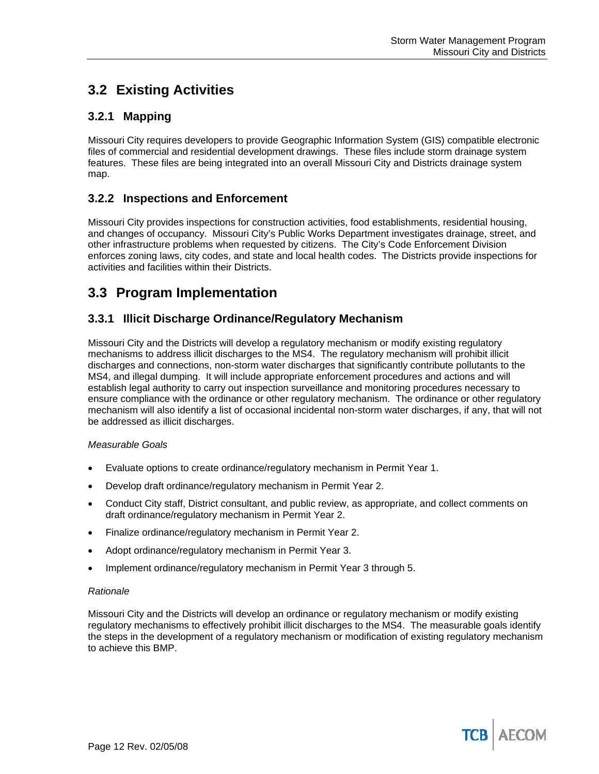# **3.2 Existing Activities**

## **3.2.1 Mapping**

Missouri City requires developers to provide Geographic Information System (GIS) compatible electronic files of commercial and residential development drawings. These files include storm drainage system features. These files are being integrated into an overall Missouri City and Districts drainage system map.

## **3.2.2 Inspections and Enforcement**

Missouri City provides inspections for construction activities, food establishments, residential housing, and changes of occupancy. Missouri City's Public Works Department investigates drainage, street, and other infrastructure problems when requested by citizens. The City's Code Enforcement Division enforces zoning laws, city codes, and state and local health codes. The Districts provide inspections for activities and facilities within their Districts.

## **3.3 Program Implementation**

## **3.3.1 Illicit Discharge Ordinance/Regulatory Mechanism**

Missouri City and the Districts will develop a regulatory mechanism or modify existing regulatory mechanisms to address illicit discharges to the MS4. The regulatory mechanism will prohibit illicit discharges and connections, non-storm water discharges that significantly contribute pollutants to the MS4, and illegal dumping. It will include appropriate enforcement procedures and actions and will establish legal authority to carry out inspection surveillance and monitoring procedures necessary to ensure compliance with the ordinance or other regulatory mechanism. The ordinance or other regulatory mechanism will also identify a list of occasional incidental non-storm water discharges, if any, that will not be addressed as illicit discharges.

#### *Measurable Goals*

- Evaluate options to create ordinance/regulatory mechanism in Permit Year 1.
- Develop draft ordinance/regulatory mechanism in Permit Year 2.
- Conduct City staff, District consultant, and public review, as appropriate, and collect comments on draft ordinance/regulatory mechanism in Permit Year 2.
- Finalize ordinance/regulatory mechanism in Permit Year 2.
- Adopt ordinance/regulatory mechanism in Permit Year 3.
- Implement ordinance/regulatory mechanism in Permit Year 3 through 5.

#### *Rationale*

Missouri City and the Districts will develop an ordinance or regulatory mechanism or modify existing regulatory mechanisms to effectively prohibit illicit discharges to the MS4. The measurable goals identify the steps in the development of a regulatory mechanism or modification of existing regulatory mechanism to achieve this BMP.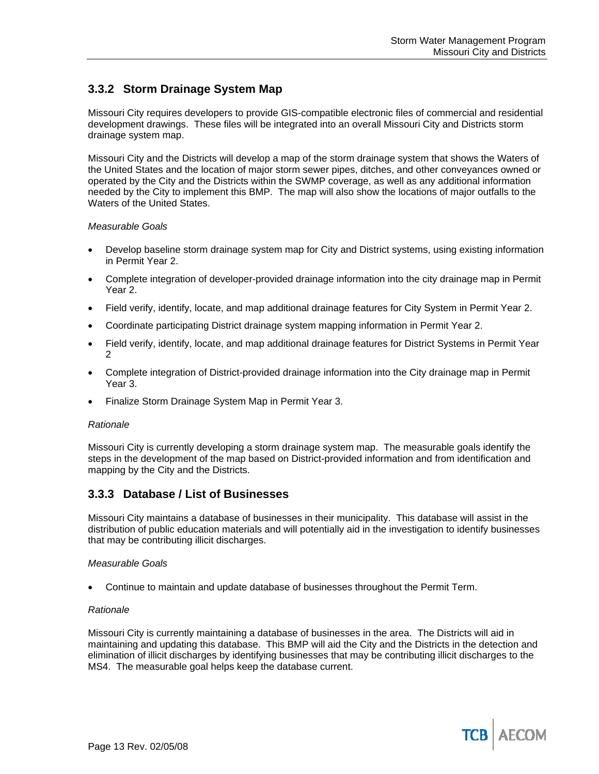## **3.3.2 Storm Drainage System Map**

Missouri City requires developers to provide GIS-compatible electronic files of commercial and residential development drawings. These files will be integrated into an overall Missouri City and Districts storm drainage system map.

Missouri City and the Districts will develop a map of the storm drainage system that shows the Waters of the United States and the location of major storm sewer pipes, ditches, and other conveyances owned or operated by the City and the Districts within the SWMP coverage, as well as any additional information needed by the City to implement this BMP. The map will also show the locations of major outfalls to the Waters of the United States.

#### *Measurable Goals*

- Develop baseline storm drainage system map for City and District systems, using existing information in Permit Year 2.
- Complete integration of developer-provided drainage information into the city drainage map in Permit Year 2.
- Field verify, identify, locate, and map additional drainage features for City System in Permit Year 2.
- Coordinate participating District drainage system mapping information in Permit Year 2.
- Field verify, identify, locate, and map additional drainage features for District Systems in Permit Year 2
- Complete integration of District-provided drainage information into the City drainage map in Permit Year 3.
- Finalize Storm Drainage System Map in Permit Year 3.

#### *Rationale*

Missouri City is currently developing a storm drainage system map. The measurable goals identify the steps in the development of the map based on District-provided information and from identification and mapping by the City and the Districts.

## **3.3.3 Database / List of Businesses**

Missouri City maintains a database of businesses in their municipality. This database will assist in the distribution of public education materials and will potentially aid in the investigation to identify businesses that may be contributing illicit discharges.

#### *Measurable Goals*

• Continue to maintain and update database of businesses throughout the Permit Term.

#### *Rationale*

Missouri City is currently maintaining a database of businesses in the area. The Districts will aid in maintaining and updating this database. This BMP will aid the City and the Districts in the detection and elimination of illicit discharges by identifying businesses that may be contributing illicit discharges to the MS4. The measurable goal helps keep the database current.

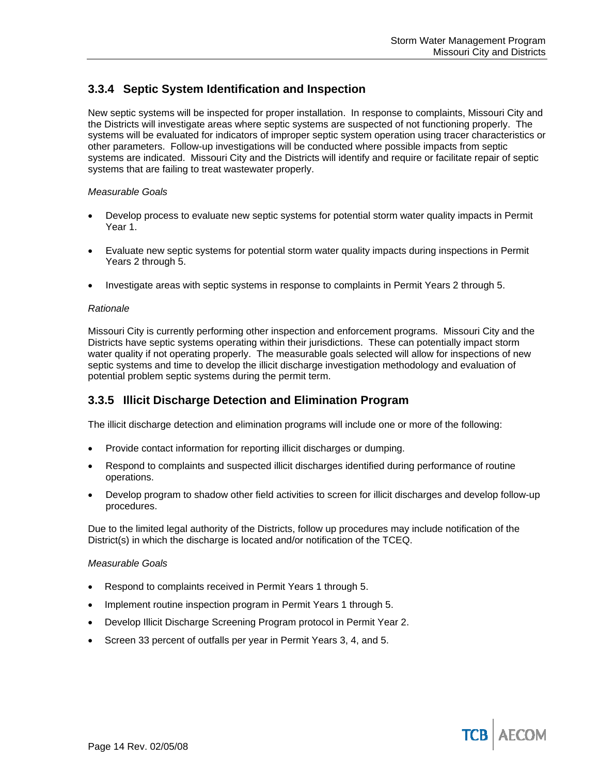## **3.3.4 Septic System Identification and Inspection**

New septic systems will be inspected for proper installation. In response to complaints, Missouri City and the Districts will investigate areas where septic systems are suspected of not functioning properly. The systems will be evaluated for indicators of improper septic system operation using tracer characteristics or other parameters. Follow-up investigations will be conducted where possible impacts from septic systems are indicated. Missouri City and the Districts will identify and require or facilitate repair of septic systems that are failing to treat wastewater properly.

#### *Measurable Goals*

- Develop process to evaluate new septic systems for potential storm water quality impacts in Permit Year 1.
- Evaluate new septic systems for potential storm water quality impacts during inspections in Permit Years 2 through 5.
- Investigate areas with septic systems in response to complaints in Permit Years 2 through 5.

#### *Rationale*

Missouri City is currently performing other inspection and enforcement programs. Missouri City and the Districts have septic systems operating within their jurisdictions. These can potentially impact storm water quality if not operating properly. The measurable goals selected will allow for inspections of new septic systems and time to develop the illicit discharge investigation methodology and evaluation of potential problem septic systems during the permit term.

## **3.3.5 Illicit Discharge Detection and Elimination Program**

The illicit discharge detection and elimination programs will include one or more of the following:

- Provide contact information for reporting illicit discharges or dumping.
- Respond to complaints and suspected illicit discharges identified during performance of routine operations.
- Develop program to shadow other field activities to screen for illicit discharges and develop follow-up procedures.

Due to the limited legal authority of the Districts, follow up procedures may include notification of the District(s) in which the discharge is located and/or notification of the TCEQ.

#### *Measurable Goals*

- Respond to complaints received in Permit Years 1 through 5.
- Implement routine inspection program in Permit Years 1 through 5.
- Develop Illicit Discharge Screening Program protocol in Permit Year 2.
- Screen 33 percent of outfalls per year in Permit Years 3, 4, and 5.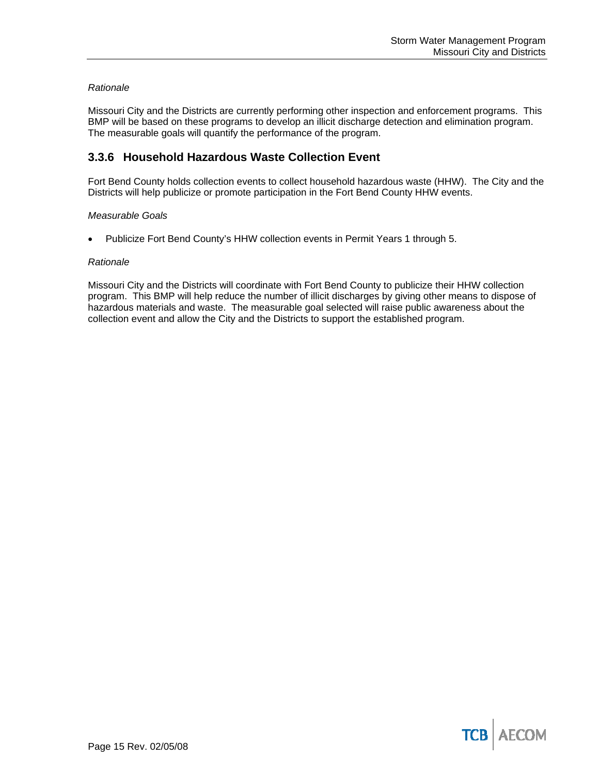#### *Rationale*

Missouri City and the Districts are currently performing other inspection and enforcement programs. This BMP will be based on these programs to develop an illicit discharge detection and elimination program. The measurable goals will quantify the performance of the program.

## **3.3.6 Household Hazardous Waste Collection Event**

Fort Bend County holds collection events to collect household hazardous waste (HHW). The City and the Districts will help publicize or promote participation in the Fort Bend County HHW events.

#### *Measurable Goals*

Publicize Fort Bend County's HHW collection events in Permit Years 1 through 5.

#### *Rationale*

Missouri City and the Districts will coordinate with Fort Bend County to publicize their HHW collection program. This BMP will help reduce the number of illicit discharges by giving other means to dispose of hazardous materials and waste. The measurable goal selected will raise public awareness about the collection event and allow the City and the Districts to support the established program.

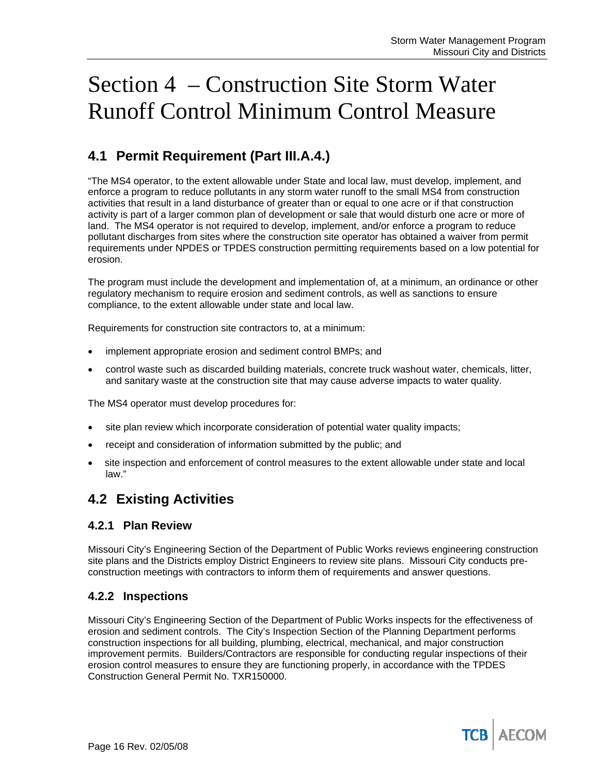# Section 4 – Construction Site Storm Water Runoff Control Minimum Control Measure

# **4.1 Permit Requirement (Part III.A.4.)**

"The MS4 operator, to the extent allowable under State and local law, must develop, implement, and enforce a program to reduce pollutants in any storm water runoff to the small MS4 from construction activities that result in a land disturbance of greater than or equal to one acre or if that construction activity is part of a larger common plan of development or sale that would disturb one acre or more of land. The MS4 operator is not required to develop, implement, and/or enforce a program to reduce pollutant discharges from sites where the construction site operator has obtained a waiver from permit requirements under NPDES or TPDES construction permitting requirements based on a low potential for erosion.

The program must include the development and implementation of, at a minimum, an ordinance or other regulatory mechanism to require erosion and sediment controls, as well as sanctions to ensure compliance, to the extent allowable under state and local law.

Requirements for construction site contractors to, at a minimum:

- implement appropriate erosion and sediment control BMPs; and
- control waste such as discarded building materials, concrete truck washout water, chemicals, litter, and sanitary waste at the construction site that may cause adverse impacts to water quality.

The MS4 operator must develop procedures for:

- site plan review which incorporate consideration of potential water quality impacts;
- receipt and consideration of information submitted by the public; and
- site inspection and enforcement of control measures to the extent allowable under state and local law."

## **4.2 Existing Activities**

## **4.2.1 Plan Review**

Missouri City's Engineering Section of the Department of Public Works reviews engineering construction site plans and the Districts employ District Engineers to review site plans. Missouri City conducts preconstruction meetings with contractors to inform them of requirements and answer questions.

## **4.2.2 Inspections**

Missouri City's Engineering Section of the Department of Public Works inspects for the effectiveness of erosion and sediment controls. The City's Inspection Section of the Planning Department performs construction inspections for all building, plumbing, electrical, mechanical, and major construction improvement permits. Builders/Contractors are responsible for conducting regular inspections of their erosion control measures to ensure they are functioning properly, in accordance with the TPDES Construction General Permit No. TXR150000.

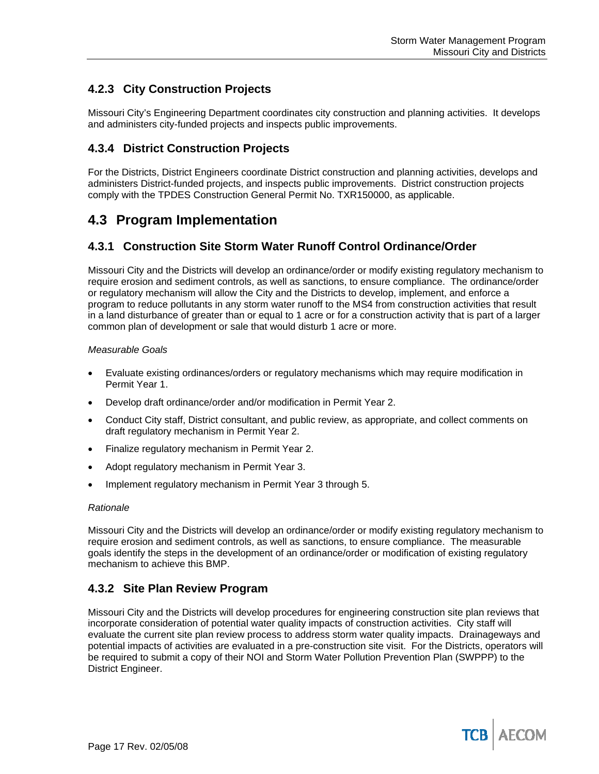## **4.2.3 City Construction Projects**

Missouri City's Engineering Department coordinates city construction and planning activities. It develops and administers city-funded projects and inspects public improvements.

## **4.3.4 District Construction Projects**

For the Districts, District Engineers coordinate District construction and planning activities, develops and administers District-funded projects, and inspects public improvements. District construction projects comply with the TPDES Construction General Permit No. TXR150000, as applicable.

## **4.3 Program Implementation**

## **4.3.1 Construction Site Storm Water Runoff Control Ordinance/Order**

Missouri City and the Districts will develop an ordinance/order or modify existing regulatory mechanism to require erosion and sediment controls, as well as sanctions, to ensure compliance. The ordinance/order or regulatory mechanism will allow the City and the Districts to develop, implement, and enforce a program to reduce pollutants in any storm water runoff to the MS4 from construction activities that result in a land disturbance of greater than or equal to 1 acre or for a construction activity that is part of a larger common plan of development or sale that would disturb 1 acre or more.

#### *Measurable Goals*

- Evaluate existing ordinances/orders or regulatory mechanisms which may require modification in Permit Year 1.
- Develop draft ordinance/order and/or modification in Permit Year 2.
- Conduct City staff, District consultant, and public review, as appropriate, and collect comments on draft regulatory mechanism in Permit Year 2.
- Finalize regulatory mechanism in Permit Year 2.
- Adopt regulatory mechanism in Permit Year 3.
- Implement regulatory mechanism in Permit Year 3 through 5.

#### *Rationale*

Missouri City and the Districts will develop an ordinance/order or modify existing regulatory mechanism to require erosion and sediment controls, as well as sanctions, to ensure compliance. The measurable goals identify the steps in the development of an ordinance/order or modification of existing regulatory mechanism to achieve this BMP.

## **4.3.2 Site Plan Review Program**

Missouri City and the Districts will develop procedures for engineering construction site plan reviews that incorporate consideration of potential water quality impacts of construction activities. City staff will evaluate the current site plan review process to address storm water quality impacts. Drainageways and potential impacts of activities are evaluated in a pre-construction site visit. For the Districts, operators will be required to submit a copy of their NOI and Storm Water Pollution Prevention Plan (SWPPP) to the District Engineer.

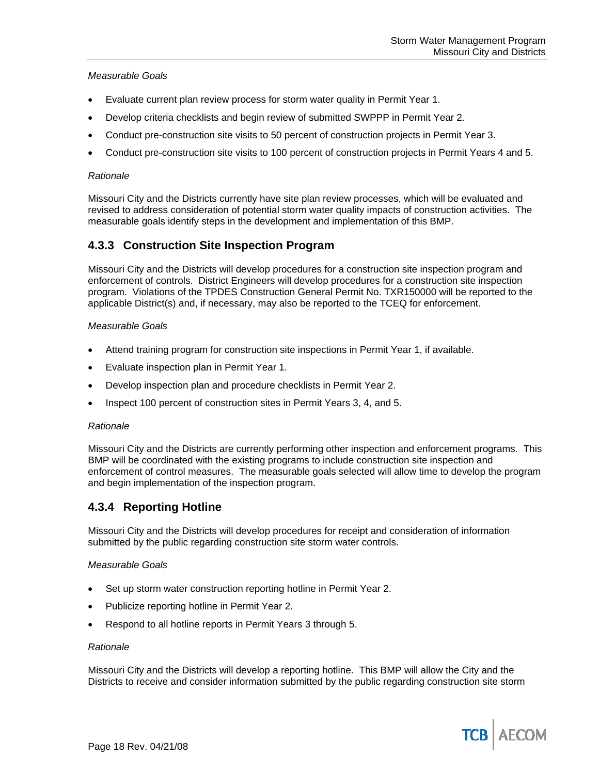#### *Measurable Goals*

- Evaluate current plan review process for storm water quality in Permit Year 1.
- Develop criteria checklists and begin review of submitted SWPPP in Permit Year 2.
- Conduct pre-construction site visits to 50 percent of construction projects in Permit Year 3.
- Conduct pre-construction site visits to 100 percent of construction projects in Permit Years 4 and 5.

#### *Rationale*

Missouri City and the Districts currently have site plan review processes, which will be evaluated and revised to address consideration of potential storm water quality impacts of construction activities. The measurable goals identify steps in the development and implementation of this BMP.

## **4.3.3 Construction Site Inspection Program**

Missouri City and the Districts will develop procedures for a construction site inspection program and enforcement of controls. District Engineers will develop procedures for a construction site inspection program. Violations of the TPDES Construction General Permit No. TXR150000 will be reported to the applicable District(s) and, if necessary, may also be reported to the TCEQ for enforcement.

#### *Measurable Goals*

- Attend training program for construction site inspections in Permit Year 1, if available.
- Evaluate inspection plan in Permit Year 1.
- Develop inspection plan and procedure checklists in Permit Year 2.
- Inspect 100 percent of construction sites in Permit Years 3, 4, and 5.

#### *Rationale*

Missouri City and the Districts are currently performing other inspection and enforcement programs. This BMP will be coordinated with the existing programs to include construction site inspection and enforcement of control measures. The measurable goals selected will allow time to develop the program and begin implementation of the inspection program.

## **4.3.4 Reporting Hotline**

Missouri City and the Districts will develop procedures for receipt and consideration of information submitted by the public regarding construction site storm water controls.

#### *Measurable Goals*

- Set up storm water construction reporting hotline in Permit Year 2.
- Publicize reporting hotline in Permit Year 2.
- Respond to all hotline reports in Permit Years 3 through 5.

#### *Rationale*

Missouri City and the Districts will develop a reporting hotline. This BMP will allow the City and the Districts to receive and consider information submitted by the public regarding construction site storm

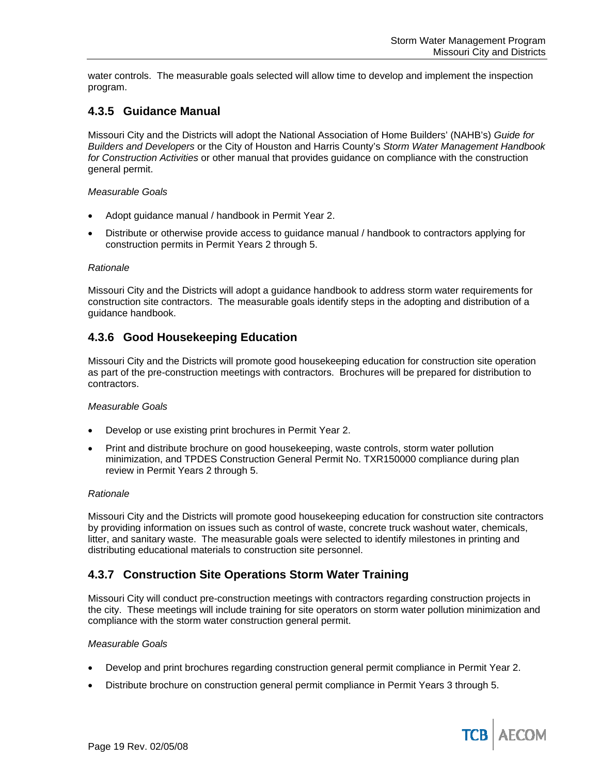water controls. The measurable goals selected will allow time to develop and implement the inspection program.

## **4.3.5 Guidance Manual**

Missouri City and the Districts will adopt the National Association of Home Builders' (NAHB's) *Guide for Builders and Developers* or the City of Houston and Harris County's *Storm Water Management Handbook for Construction Activities* or other manual that provides guidance on compliance with the construction general permit.

#### *Measurable Goals*

- Adopt guidance manual / handbook in Permit Year 2.
- Distribute or otherwise provide access to guidance manual / handbook to contractors applying for construction permits in Permit Years 2 through 5.

#### *Rationale*

Missouri City and the Districts will adopt a guidance handbook to address storm water requirements for construction site contractors. The measurable goals identify steps in the adopting and distribution of a guidance handbook.

## **4.3.6 Good Housekeeping Education**

Missouri City and the Districts will promote good housekeeping education for construction site operation as part of the pre-construction meetings with contractors. Brochures will be prepared for distribution to contractors.

#### *Measurable Goals*

- Develop or use existing print brochures in Permit Year 2.
- Print and distribute brochure on good housekeeping, waste controls, storm water pollution minimization, and TPDES Construction General Permit No. TXR150000 compliance during plan review in Permit Years 2 through 5.

#### *Rationale*

Missouri City and the Districts will promote good housekeeping education for construction site contractors by providing information on issues such as control of waste, concrete truck washout water, chemicals, litter, and sanitary waste. The measurable goals were selected to identify milestones in printing and distributing educational materials to construction site personnel.

## **4.3.7 Construction Site Operations Storm Water Training**

Missouri City will conduct pre-construction meetings with contractors regarding construction projects in the city. These meetings will include training for site operators on storm water pollution minimization and compliance with the storm water construction general permit.

#### *Measurable Goals*

- Develop and print brochures regarding construction general permit compliance in Permit Year 2.
- Distribute brochure on construction general permit compliance in Permit Years 3 through 5.

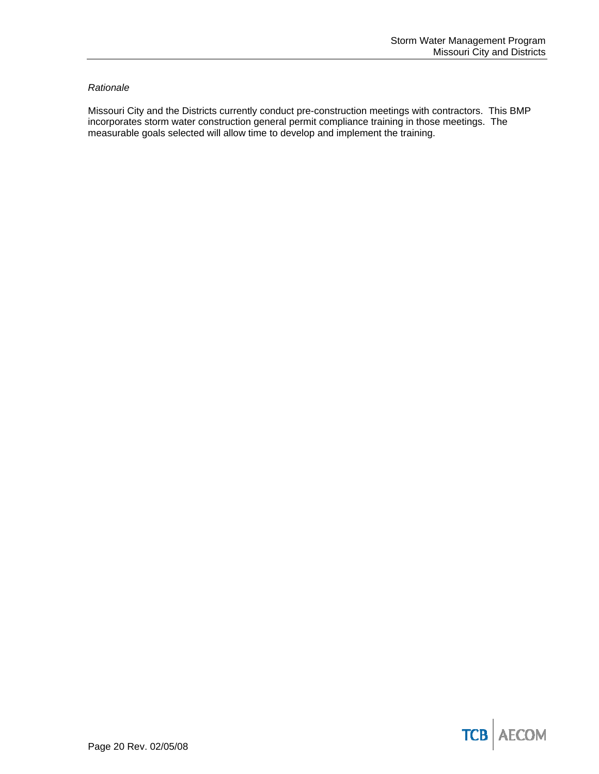#### *Rationale*

Missouri City and the Districts currently conduct pre-construction meetings with contractors. This BMP incorporates storm water construction general permit compliance training in those meetings. The measurable goals selected will allow time to develop and implement the training.

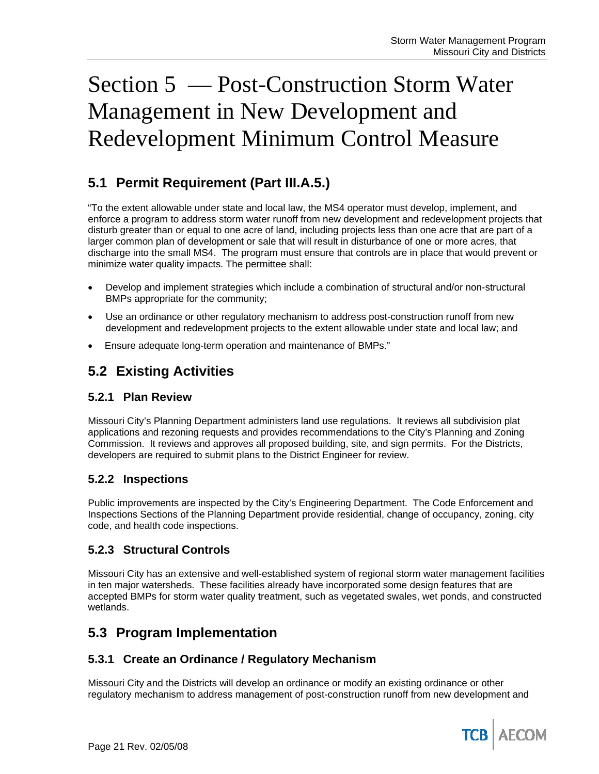# Section 5 — Post-Construction Storm Water Management in New Development and Redevelopment Minimum Control Measure

# **5.1 Permit Requirement (Part III.A.5.)**

"To the extent allowable under state and local law, the MS4 operator must develop, implement, and enforce a program to address storm water runoff from new development and redevelopment projects that disturb greater than or equal to one acre of land, including projects less than one acre that are part of a larger common plan of development or sale that will result in disturbance of one or more acres, that discharge into the small MS4. The program must ensure that controls are in place that would prevent or minimize water quality impacts. The permittee shall:

- Develop and implement strategies which include a combination of structural and/or non-structural BMPs appropriate for the community;
- Use an ordinance or other regulatory mechanism to address post-construction runoff from new development and redevelopment projects to the extent allowable under state and local law; and
- Ensure adequate long-term operation and maintenance of BMPs."

## **5.2 Existing Activities**

## **5.2.1 Plan Review**

Missouri City's Planning Department administers land use regulations. It reviews all subdivision plat applications and rezoning requests and provides recommendations to the City's Planning and Zoning Commission. It reviews and approves all proposed building, site, and sign permits. For the Districts, developers are required to submit plans to the District Engineer for review.

## **5.2.2 Inspections**

Public improvements are inspected by the City's Engineering Department. The Code Enforcement and Inspections Sections of the Planning Department provide residential, change of occupancy, zoning, city code, and health code inspections.

## **5.2.3 Structural Controls**

Missouri City has an extensive and well-established system of regional storm water management facilities in ten major watersheds. These facilities already have incorporated some design features that are accepted BMPs for storm water quality treatment, such as vegetated swales, wet ponds, and constructed wetlands.

## **5.3 Program Implementation**

## **5.3.1 Create an Ordinance / Regulatory Mechanism**

Missouri City and the Districts will develop an ordinance or modify an existing ordinance or other regulatory mechanism to address management of post-construction runoff from new development and

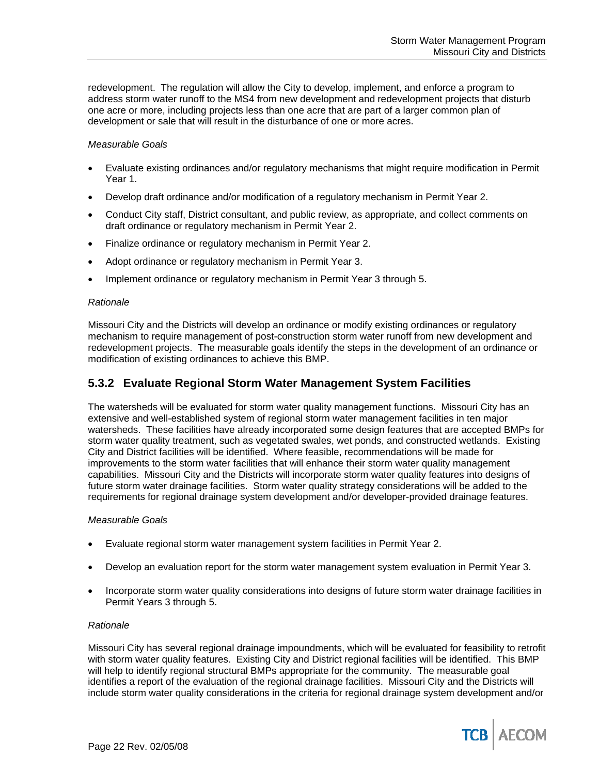redevelopment. The regulation will allow the City to develop, implement, and enforce a program to address storm water runoff to the MS4 from new development and redevelopment projects that disturb one acre or more, including projects less than one acre that are part of a larger common plan of development or sale that will result in the disturbance of one or more acres.

#### *Measurable Goals*

- Evaluate existing ordinances and/or regulatory mechanisms that might require modification in Permit Year 1.
- Develop draft ordinance and/or modification of a regulatory mechanism in Permit Year 2.
- Conduct City staff, District consultant, and public review, as appropriate, and collect comments on draft ordinance or regulatory mechanism in Permit Year 2.
- Finalize ordinance or regulatory mechanism in Permit Year 2.
- Adopt ordinance or regulatory mechanism in Permit Year 3.
- Implement ordinance or regulatory mechanism in Permit Year 3 through 5.

#### *Rationale*

Missouri City and the Districts will develop an ordinance or modify existing ordinances or regulatory mechanism to require management of post-construction storm water runoff from new development and redevelopment projects. The measurable goals identify the steps in the development of an ordinance or modification of existing ordinances to achieve this BMP.

## **5.3.2 Evaluate Regional Storm Water Management System Facilities**

The watersheds will be evaluated for storm water quality management functions. Missouri City has an extensive and well-established system of regional storm water management facilities in ten major watersheds. These facilities have already incorporated some design features that are accepted BMPs for storm water quality treatment, such as vegetated swales, wet ponds, and constructed wetlands. Existing City and District facilities will be identified. Where feasible, recommendations will be made for improvements to the storm water facilities that will enhance their storm water quality management capabilities. Missouri City and the Districts will incorporate storm water quality features into designs of future storm water drainage facilities. Storm water quality strategy considerations will be added to the requirements for regional drainage system development and/or developer-provided drainage features.

#### *Measurable Goals*

- Evaluate regional storm water management system facilities in Permit Year 2.
- Develop an evaluation report for the storm water management system evaluation in Permit Year 3.
- Incorporate storm water quality considerations into designs of future storm water drainage facilities in Permit Years 3 through 5.

#### *Rationale*

Missouri City has several regional drainage impoundments, which will be evaluated for feasibility to retrofit with storm water quality features. Existing City and District regional facilities will be identified. This BMP will help to identify regional structural BMPs appropriate for the community. The measurable goal identifies a report of the evaluation of the regional drainage facilities. Missouri City and the Districts will include storm water quality considerations in the criteria for regional drainage system development and/or

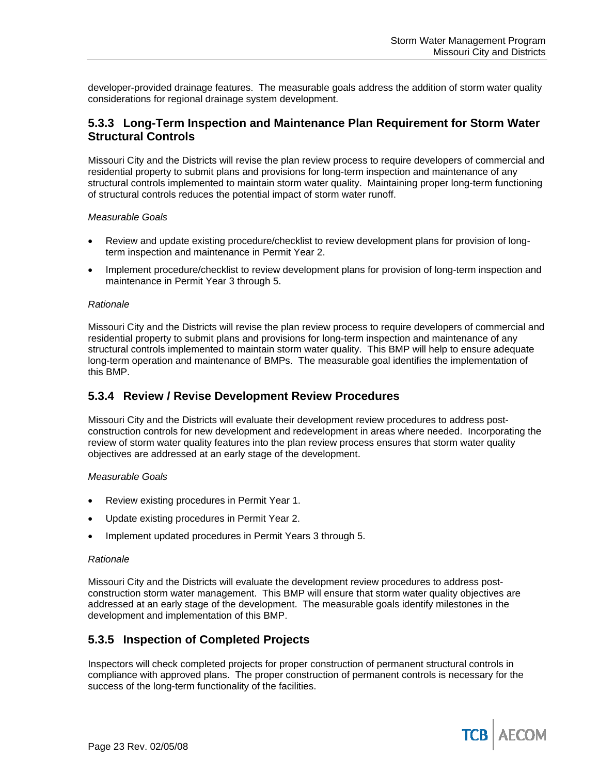developer-provided drainage features. The measurable goals address the addition of storm water quality considerations for regional drainage system development.

## **5.3.3 Long-Term Inspection and Maintenance Plan Requirement for Storm Water Structural Controls**

Missouri City and the Districts will revise the plan review process to require developers of commercial and residential property to submit plans and provisions for long-term inspection and maintenance of any structural controls implemented to maintain storm water quality. Maintaining proper long-term functioning of structural controls reduces the potential impact of storm water runoff.

#### *Measurable Goals*

- Review and update existing procedure/checklist to review development plans for provision of longterm inspection and maintenance in Permit Year 2.
- Implement procedure/checklist to review development plans for provision of long-term inspection and maintenance in Permit Year 3 through 5.

#### *Rationale*

Missouri City and the Districts will revise the plan review process to require developers of commercial and residential property to submit plans and provisions for long-term inspection and maintenance of any structural controls implemented to maintain storm water quality. This BMP will help to ensure adequate long-term operation and maintenance of BMPs. The measurable goal identifies the implementation of this BMP.

## **5.3.4 Review / Revise Development Review Procedures**

Missouri City and the Districts will evaluate their development review procedures to address postconstruction controls for new development and redevelopment in areas where needed. Incorporating the review of storm water quality features into the plan review process ensures that storm water quality objectives are addressed at an early stage of the development.

#### *Measurable Goals*

- Review existing procedures in Permit Year 1.
- Update existing procedures in Permit Year 2.
- Implement updated procedures in Permit Years 3 through 5.

#### *Rationale*

Missouri City and the Districts will evaluate the development review procedures to address postconstruction storm water management. This BMP will ensure that storm water quality objectives are addressed at an early stage of the development. The measurable goals identify milestones in the development and implementation of this BMP.

## **5.3.5 Inspection of Completed Projects**

Inspectors will check completed projects for proper construction of permanent structural controls in compliance with approved plans. The proper construction of permanent controls is necessary for the success of the long-term functionality of the facilities.

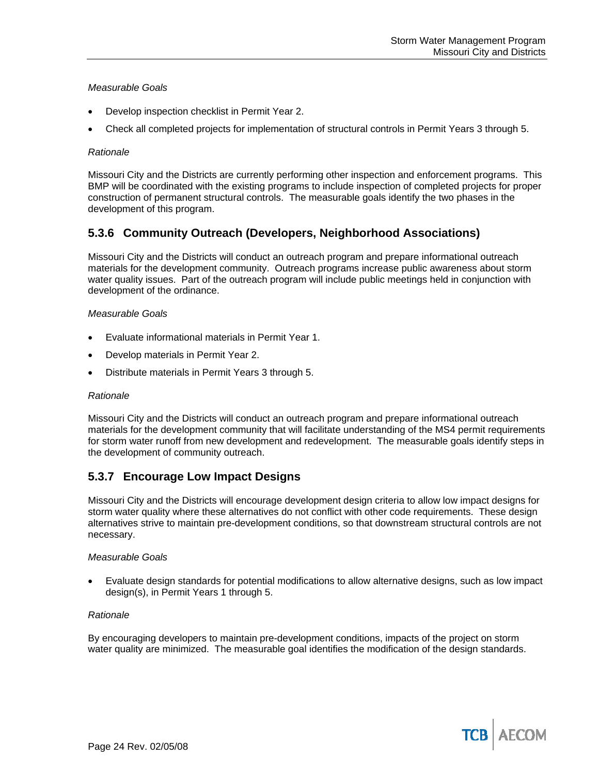#### *Measurable Goals*

- Develop inspection checklist in Permit Year 2.
- Check all completed projects for implementation of structural controls in Permit Years 3 through 5.

#### *Rationale*

Missouri City and the Districts are currently performing other inspection and enforcement programs. This BMP will be coordinated with the existing programs to include inspection of completed projects for proper construction of permanent structural controls. The measurable goals identify the two phases in the development of this program.

## **5.3.6 Community Outreach (Developers, Neighborhood Associations)**

Missouri City and the Districts will conduct an outreach program and prepare informational outreach materials for the development community. Outreach programs increase public awareness about storm water quality issues. Part of the outreach program will include public meetings held in conjunction with development of the ordinance.

#### *Measurable Goals*

- Evaluate informational materials in Permit Year 1.
- Develop materials in Permit Year 2.
- Distribute materials in Permit Years 3 through 5.

#### *Rationale*

Missouri City and the Districts will conduct an outreach program and prepare informational outreach materials for the development community that will facilitate understanding of the MS4 permit requirements for storm water runoff from new development and redevelopment. The measurable goals identify steps in the development of community outreach.

## **5.3.7 Encourage Low Impact Designs**

Missouri City and the Districts will encourage development design criteria to allow low impact designs for storm water quality where these alternatives do not conflict with other code requirements. These design alternatives strive to maintain pre-development conditions, so that downstream structural controls are not necessary.

#### *Measurable Goals*

• Evaluate design standards for potential modifications to allow alternative designs, such as low impact design(s), in Permit Years 1 through 5.

#### *Rationale*

By encouraging developers to maintain pre-development conditions, impacts of the project on storm water quality are minimized. The measurable goal identifies the modification of the design standards.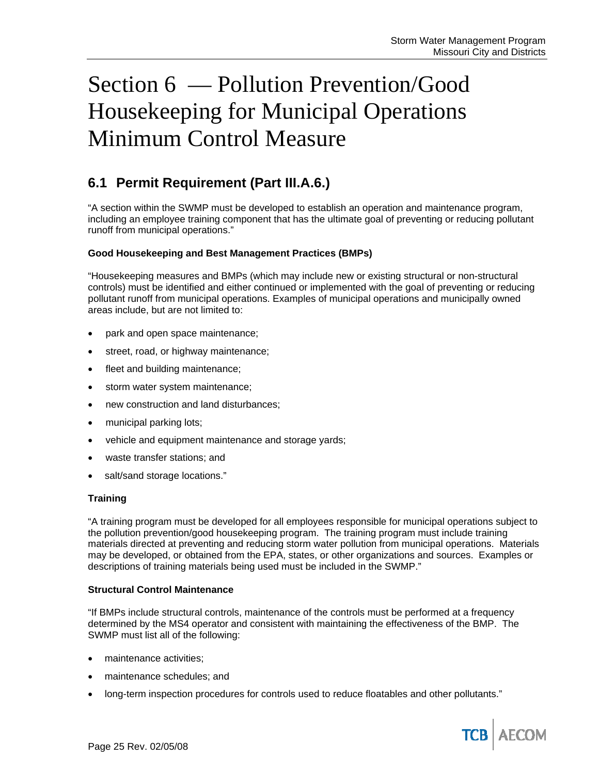# Section 6 — Pollution Prevention/Good Housekeeping for Municipal Operations Minimum Control Measure

# **6.1 Permit Requirement (Part III.A.6.)**

"A section within the SWMP must be developed to establish an operation and maintenance program, including an employee training component that has the ultimate goal of preventing or reducing pollutant runoff from municipal operations."

#### **Good Housekeeping and Best Management Practices (BMPs)**

"Housekeeping measures and BMPs (which may include new or existing structural or non-structural controls) must be identified and either continued or implemented with the goal of preventing or reducing pollutant runoff from municipal operations. Examples of municipal operations and municipally owned areas include, but are not limited to:

- park and open space maintenance;
- street, road, or highway maintenance;
- fleet and building maintenance;
- storm water system maintenance;
- new construction and land disturbances;
- municipal parking lots;
- vehicle and equipment maintenance and storage yards;
- waste transfer stations; and
- salt/sand storage locations."

#### **Training**

"A training program must be developed for all employees responsible for municipal operations subject to the pollution prevention/good housekeeping program. The training program must include training materials directed at preventing and reducing storm water pollution from municipal operations. Materials may be developed, or obtained from the EPA, states, or other organizations and sources. Examples or descriptions of training materials being used must be included in the SWMP."

#### **Structural Control Maintenance**

"If BMPs include structural controls, maintenance of the controls must be performed at a frequency determined by the MS4 operator and consistent with maintaining the effectiveness of the BMP. The SWMP must list all of the following:

- maintenance activities:
- maintenance schedules; and
- long-term inspection procedures for controls used to reduce floatables and other pollutants."

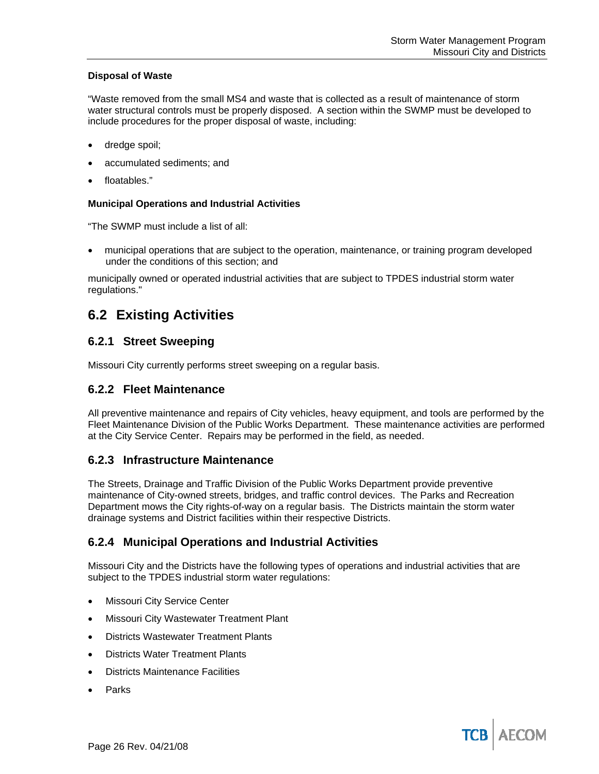#### **Disposal of Waste**

"Waste removed from the small MS4 and waste that is collected as a result of maintenance of storm water structural controls must be properly disposed. A section within the SWMP must be developed to include procedures for the proper disposal of waste, including:

- dredge spoil;
- accumulated sediments; and
- floatables."

#### **Municipal Operations and Industrial Activities**

"The SWMP must include a list of all:

• municipal operations that are subject to the operation, maintenance, or training program developed under the conditions of this section; and

municipally owned or operated industrial activities that are subject to TPDES industrial storm water regulations."

## **6.2 Existing Activities**

## **6.2.1 Street Sweeping**

Missouri City currently performs street sweeping on a regular basis.

### **6.2.2 Fleet Maintenance**

All preventive maintenance and repairs of City vehicles, heavy equipment, and tools are performed by the Fleet Maintenance Division of the Public Works Department. These maintenance activities are performed at the City Service Center. Repairs may be performed in the field, as needed.

## **6.2.3 Infrastructure Maintenance**

The Streets, Drainage and Traffic Division of the Public Works Department provide preventive maintenance of City-owned streets, bridges, and traffic control devices. The Parks and Recreation Department mows the City rights-of-way on a regular basis. The Districts maintain the storm water drainage systems and District facilities within their respective Districts.

## **6.2.4 Municipal Operations and Industrial Activities**

Missouri City and the Districts have the following types of operations and industrial activities that are subject to the TPDES industrial storm water regulations:

- **Missouri City Service Center**
- Missouri City Wastewater Treatment Plant
- Districts Wastewater Treatment Plants
- Districts Water Treatment Plants
- Districts Maintenance Facilities
- **Parks**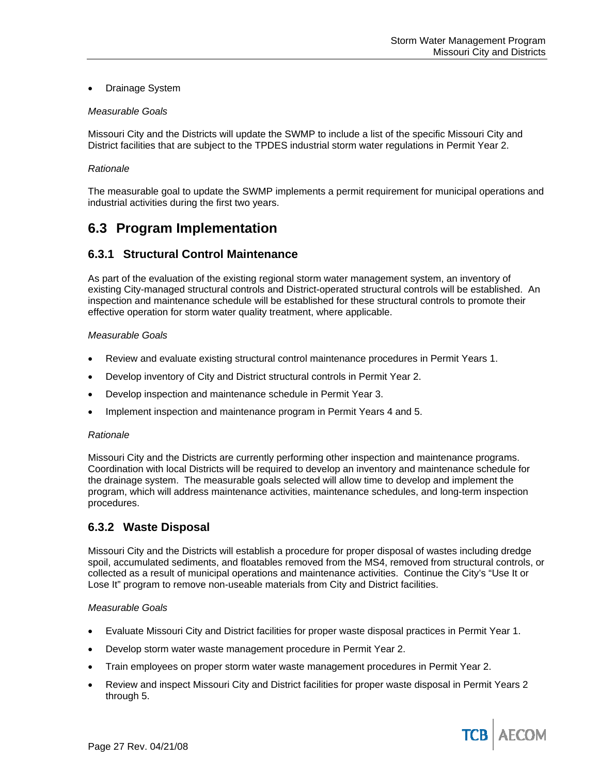#### • Drainage System

#### *Measurable Goals*

Missouri City and the Districts will update the SWMP to include a list of the specific Missouri City and District facilities that are subject to the TPDES industrial storm water regulations in Permit Year 2.

#### *Rationale*

The measurable goal to update the SWMP implements a permit requirement for municipal operations and industrial activities during the first two years.

## **6.3 Program Implementation**

## **6.3.1 Structural Control Maintenance**

As part of the evaluation of the existing regional storm water management system, an inventory of existing City-managed structural controls and District-operated structural controls will be established. An inspection and maintenance schedule will be established for these structural controls to promote their effective operation for storm water quality treatment, where applicable.

#### *Measurable Goals*

- Review and evaluate existing structural control maintenance procedures in Permit Years 1.
- Develop inventory of City and District structural controls in Permit Year 2.
- Develop inspection and maintenance schedule in Permit Year 3.
- Implement inspection and maintenance program in Permit Years 4 and 5.

#### *Rationale*

Missouri City and the Districts are currently performing other inspection and maintenance programs. Coordination with local Districts will be required to develop an inventory and maintenance schedule for the drainage system. The measurable goals selected will allow time to develop and implement the program, which will address maintenance activities, maintenance schedules, and long-term inspection procedures.

## **6.3.2 Waste Disposal**

Missouri City and the Districts will establish a procedure for proper disposal of wastes including dredge spoil, accumulated sediments, and floatables removed from the MS4, removed from structural controls, or collected as a result of municipal operations and maintenance activities. Continue the City's "Use It or Lose It" program to remove non-useable materials from City and District facilities.

#### *Measurable Goals*

- Evaluate Missouri City and District facilities for proper waste disposal practices in Permit Year 1.
- Develop storm water waste management procedure in Permit Year 2.
- Train employees on proper storm water waste management procedures in Permit Year 2.
- Review and inspect Missouri City and District facilities for proper waste disposal in Permit Years 2 through 5.

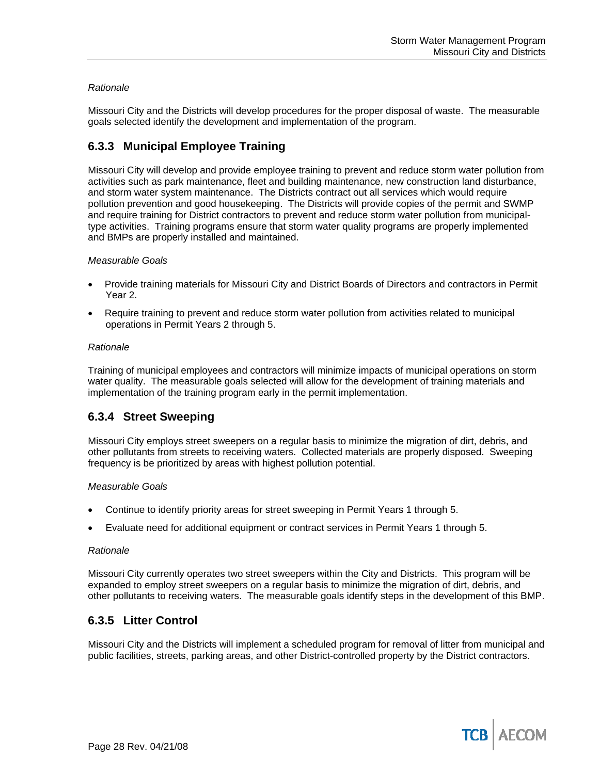#### *Rationale*

Missouri City and the Districts will develop procedures for the proper disposal of waste. The measurable goals selected identify the development and implementation of the program.

## **6.3.3 Municipal Employee Training**

Missouri City will develop and provide employee training to prevent and reduce storm water pollution from activities such as park maintenance, fleet and building maintenance, new construction land disturbance, and storm water system maintenance. The Districts contract out all services which would require pollution prevention and good housekeeping. The Districts will provide copies of the permit and SWMP and require training for District contractors to prevent and reduce storm water pollution from municipaltype activities. Training programs ensure that storm water quality programs are properly implemented and BMPs are properly installed and maintained.

#### *Measurable Goals*

- Provide training materials for Missouri City and District Boards of Directors and contractors in Permit Year 2.
- Require training to prevent and reduce storm water pollution from activities related to municipal operations in Permit Years 2 through 5.

#### *Rationale*

Training of municipal employees and contractors will minimize impacts of municipal operations on storm water quality. The measurable goals selected will allow for the development of training materials and implementation of the training program early in the permit implementation.

## **6.3.4 Street Sweeping**

Missouri City employs street sweepers on a regular basis to minimize the migration of dirt, debris, and other pollutants from streets to receiving waters. Collected materials are properly disposed. Sweeping frequency is be prioritized by areas with highest pollution potential.

#### *Measurable Goals*

- Continue to identify priority areas for street sweeping in Permit Years 1 through 5.
- Evaluate need for additional equipment or contract services in Permit Years 1 through 5.

#### *Rationale*

Missouri City currently operates two street sweepers within the City and Districts. This program will be expanded to employ street sweepers on a regular basis to minimize the migration of dirt, debris, and other pollutants to receiving waters. The measurable goals identify steps in the development of this BMP.

## **6.3.5 Litter Control**

Missouri City and the Districts will implement a scheduled program for removal of litter from municipal and public facilities, streets, parking areas, and other District-controlled property by the District contractors.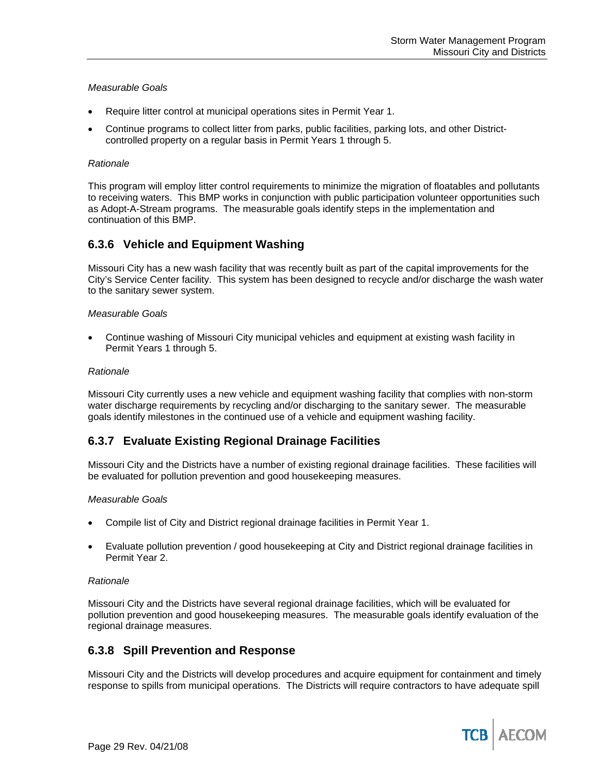#### *Measurable Goals*

- Require litter control at municipal operations sites in Permit Year 1.
- Continue programs to collect litter from parks, public facilities, parking lots, and other Districtcontrolled property on a regular basis in Permit Years 1 through 5.

#### *Rationale*

This program will employ litter control requirements to minimize the migration of floatables and pollutants to receiving waters. This BMP works in conjunction with public participation volunteer opportunities such as Adopt-A-Stream programs. The measurable goals identify steps in the implementation and continuation of this BMP.

### **6.3.6 Vehicle and Equipment Washing**

Missouri City has a new wash facility that was recently built as part of the capital improvements for the City's Service Center facility. This system has been designed to recycle and/or discharge the wash water to the sanitary sewer system.

#### *Measurable Goals*

• Continue washing of Missouri City municipal vehicles and equipment at existing wash facility in Permit Years 1 through 5.

#### *Rationale*

Missouri City currently uses a new vehicle and equipment washing facility that complies with non-storm water discharge requirements by recycling and/or discharging to the sanitary sewer. The measurable goals identify milestones in the continued use of a vehicle and equipment washing facility.

## **6.3.7 Evaluate Existing Regional Drainage Facilities**

Missouri City and the Districts have a number of existing regional drainage facilities. These facilities will be evaluated for pollution prevention and good housekeeping measures.

#### *Measurable Goals*

- Compile list of City and District regional drainage facilities in Permit Year 1.
- Evaluate pollution prevention / good housekeeping at City and District regional drainage facilities in Permit Year 2.

#### *Rationale*

Missouri City and the Districts have several regional drainage facilities, which will be evaluated for pollution prevention and good housekeeping measures. The measurable goals identify evaluation of the regional drainage measures.

#### **6.3.8 Spill Prevention and Response**

Missouri City and the Districts will develop procedures and acquire equipment for containment and timely response to spills from municipal operations. The Districts will require contractors to have adequate spill

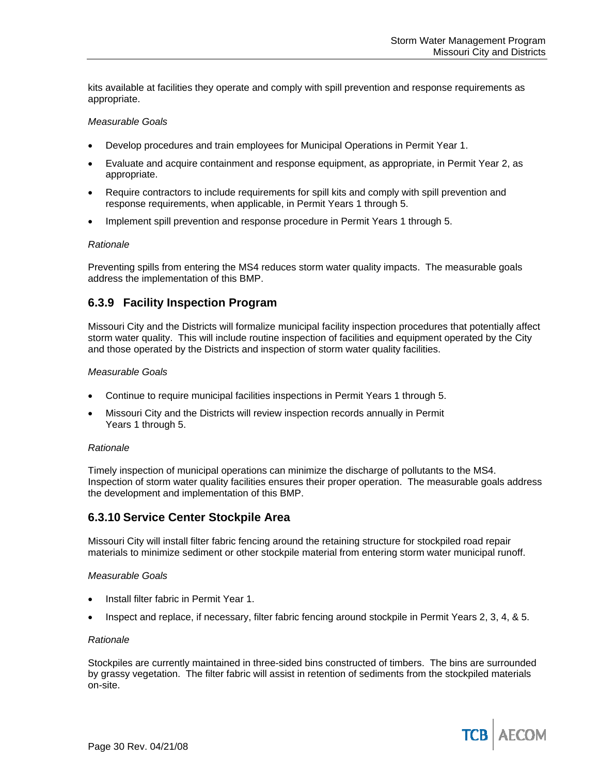kits available at facilities they operate and comply with spill prevention and response requirements as appropriate.

#### *Measurable Goals*

- Develop procedures and train employees for Municipal Operations in Permit Year 1.
- Evaluate and acquire containment and response equipment, as appropriate, in Permit Year 2, as appropriate.
- Require contractors to include requirements for spill kits and comply with spill prevention and response requirements, when applicable, in Permit Years 1 through 5.
- Implement spill prevention and response procedure in Permit Years 1 through 5.

#### *Rationale*

Preventing spills from entering the MS4 reduces storm water quality impacts. The measurable goals address the implementation of this BMP.

## **6.3.9 Facility Inspection Program**

Missouri City and the Districts will formalize municipal facility inspection procedures that potentially affect storm water quality. This will include routine inspection of facilities and equipment operated by the City and those operated by the Districts and inspection of storm water quality facilities.

#### *Measurable Goals*

- Continue to require municipal facilities inspections in Permit Years 1 through 5.
- Missouri City and the Districts will review inspection records annually in Permit Years 1 through 5.

#### *Rationale*

Timely inspection of municipal operations can minimize the discharge of pollutants to the MS4. Inspection of storm water quality facilities ensures their proper operation. The measurable goals address the development and implementation of this BMP.

### **6.3.10 Service Center Stockpile Area**

Missouri City will install filter fabric fencing around the retaining structure for stockpiled road repair materials to minimize sediment or other stockpile material from entering storm water municipal runoff.

#### *Measurable Goals*

- Install filter fabric in Permit Year 1.
- Inspect and replace, if necessary, filter fabric fencing around stockpile in Permit Years 2, 3, 4, & 5.

#### *Rationale*

Stockpiles are currently maintained in three-sided bins constructed of timbers. The bins are surrounded by grassy vegetation. The filter fabric will assist in retention of sediments from the stockpiled materials on-site.

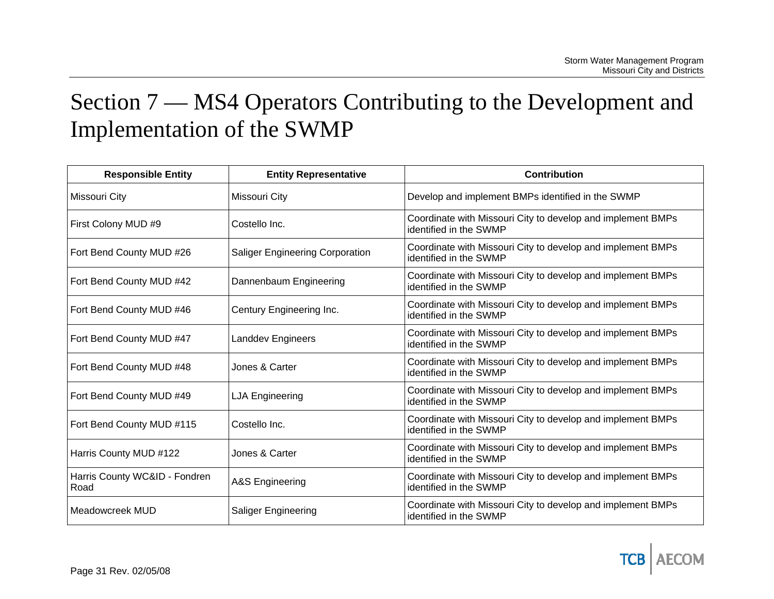# Section 7 — MS4 Operators Contributing to the Development and Implementation of the SWMP

| <b>Responsible Entity</b>             | <b>Entity Representative</b>           | <b>Contribution</b>                                                                   |
|---------------------------------------|----------------------------------------|---------------------------------------------------------------------------------------|
| Missouri City                         | Missouri City                          | Develop and implement BMPs identified in the SWMP                                     |
| First Colony MUD #9                   | Costello Inc.                          | Coordinate with Missouri City to develop and implement BMPs<br>identified in the SWMP |
| Fort Bend County MUD #26              | <b>Saliger Engineering Corporation</b> | Coordinate with Missouri City to develop and implement BMPs<br>identified in the SWMP |
| Fort Bend County MUD #42              | Dannenbaum Engineering                 | Coordinate with Missouri City to develop and implement BMPs<br>identified in the SWMP |
| Fort Bend County MUD #46              | Century Engineering Inc.               | Coordinate with Missouri City to develop and implement BMPs<br>identified in the SWMP |
| Fort Bend County MUD #47              | <b>Landdev Engineers</b>               | Coordinate with Missouri City to develop and implement BMPs<br>identified in the SWMP |
| Fort Bend County MUD #48              | Jones & Carter                         | Coordinate with Missouri City to develop and implement BMPs<br>identified in the SWMP |
| Fort Bend County MUD #49              | <b>LJA Engineering</b>                 | Coordinate with Missouri City to develop and implement BMPs<br>identified in the SWMP |
| Fort Bend County MUD #115             | Costello Inc.                          | Coordinate with Missouri City to develop and implement BMPs<br>identified in the SWMP |
| Harris County MUD #122                | Jones & Carter                         | Coordinate with Missouri City to develop and implement BMPs<br>identified in the SWMP |
| Harris County WC&ID - Fondren<br>Road | A&S Engineering                        | Coordinate with Missouri City to develop and implement BMPs<br>identified in the SWMP |
| Meadowcreek MUD                       | <b>Saliger Engineering</b>             | Coordinate with Missouri City to develop and implement BMPs<br>identified in the SWMP |

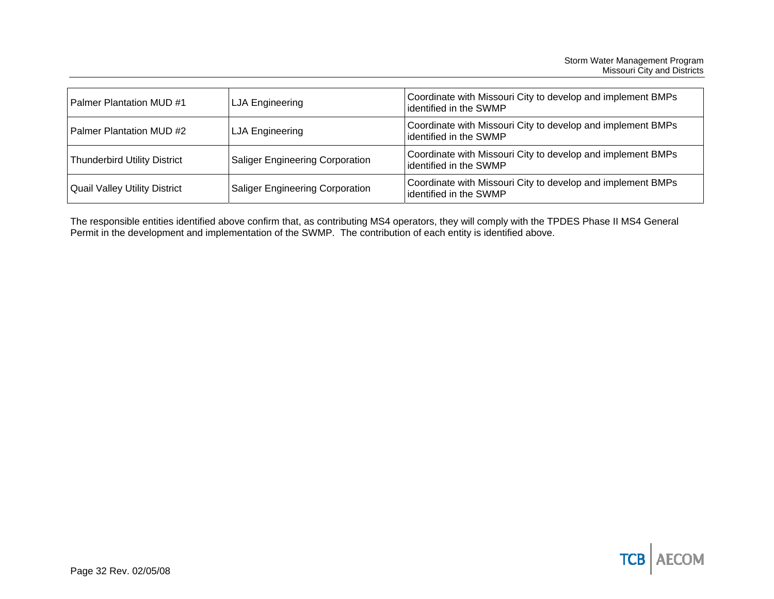| <b>Palmer Plantation MUD #1</b>      | LJA Engineering                        | Coordinate with Missouri City to develop and implement BMPs<br>identified in the SWMP |
|--------------------------------------|----------------------------------------|---------------------------------------------------------------------------------------|
| <b>Palmer Plantation MUD #2</b>      | LJA Engineering                        | Coordinate with Missouri City to develop and implement BMPs<br>identified in the SWMP |
| Thunderbird Utility District         | <b>Saliger Engineering Corporation</b> | Coordinate with Missouri City to develop and implement BMPs<br>identified in the SWMP |
| <b>Quail Valley Utility District</b> | <b>Saliger Engineering Corporation</b> | Coordinate with Missouri City to develop and implement BMPs<br>identified in the SWMP |

The responsible entities identified above confirm that, as contributing MS4 operators, they will comply with the TPDES Phase II MS4 General Permit in the development and implementation of the SWMP. The contribution of each entity is identified above.

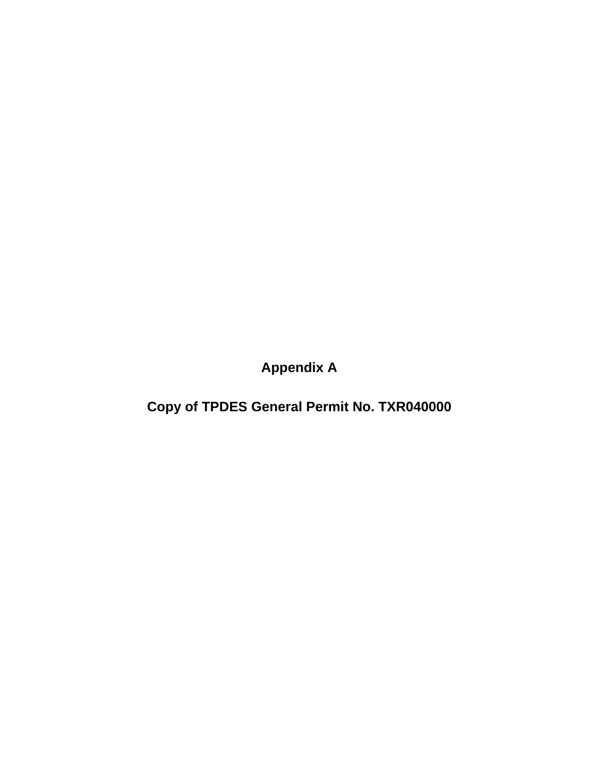**Appendix A** 

**Copy of TPDES General Permit No. TXR040000**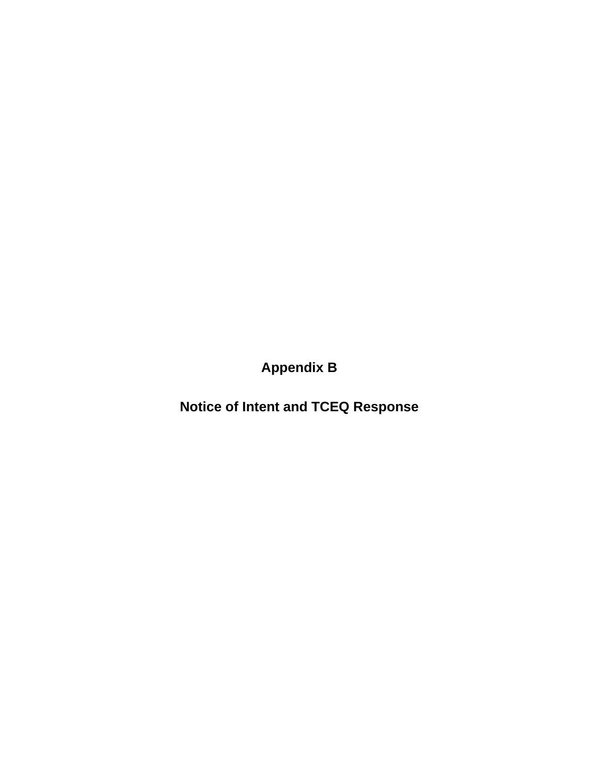**Appendix B** 

**Notice of Intent and TCEQ Response**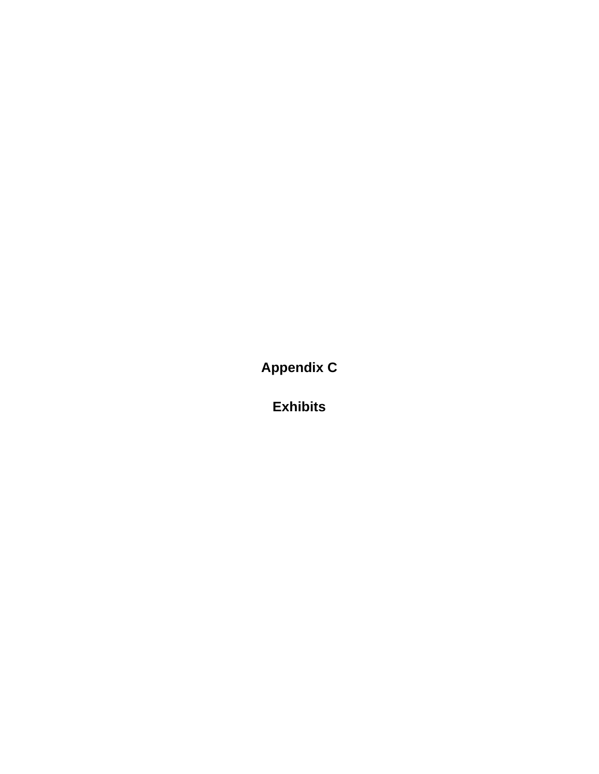**Appendix C** 

**Exhibits**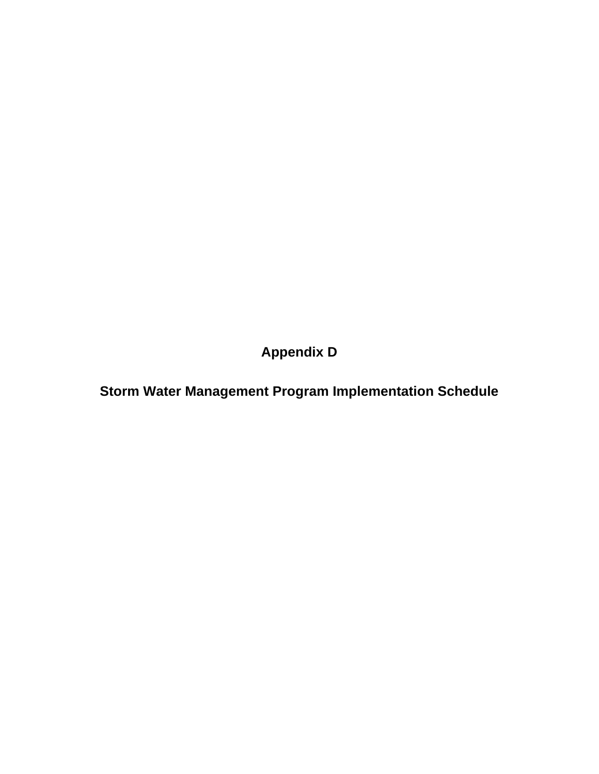**Appendix D** 

**Storm Water Management Program Implementation Schedule**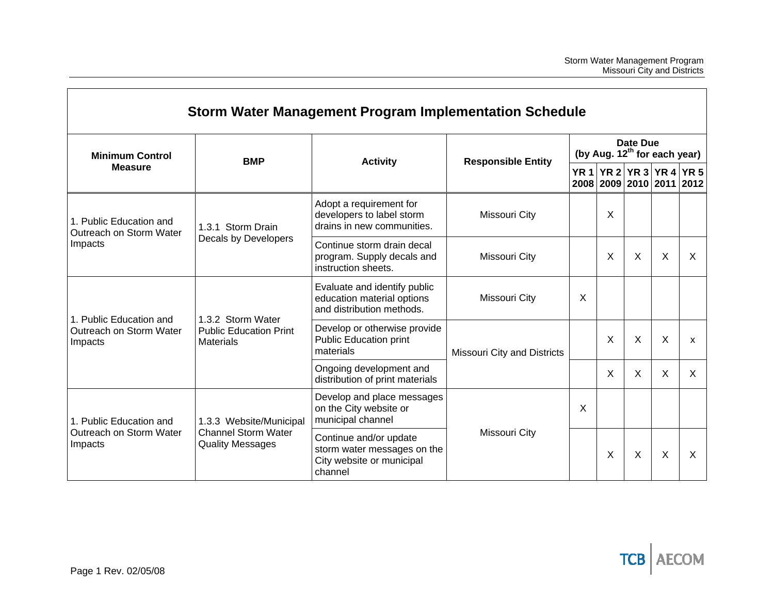|                                                               |                                                                        | Storm Water Management Program Implementation Schedule                                        |                             |                                          |                                                      |   |   |          |
|---------------------------------------------------------------|------------------------------------------------------------------------|-----------------------------------------------------------------------------------------------|-----------------------------|------------------------------------------|------------------------------------------------------|---|---|----------|
| <b>Minimum Control</b>                                        | <b>BMP</b>                                                             | <b>Responsible Entity</b><br><b>Activity</b>                                                  |                             | (by Aug. 12 <sup>th</sup> for each year) | Date Due                                             |   |   |          |
| <b>Measure</b>                                                |                                                                        |                                                                                               |                             |                                          | YR 1 YR 2 YR 3 YR 4 YR 5<br>2008 2009 2010 2011 2012 |   |   |          |
| 1. Public Education and<br>Outreach on Storm Water<br>Impacts | 1.3.1 Storm Drain                                                      | Adopt a requirement for<br>developers to label storm<br>drains in new communities.            | Missouri City               |                                          | X                                                    |   |   |          |
|                                                               | Decals by Developers                                                   | Continue storm drain decal<br>program. Supply decals and<br>instruction sheets.               | Missouri City               |                                          | $\times$                                             | X | X | X        |
|                                                               |                                                                        | Evaluate and identify public<br>education material options<br>and distribution methods.       | Missouri City               | X                                        |                                                      |   |   |          |
| 1. Public Education and<br>Outreach on Storm Water<br>Impacts | 1.3.2 Storm Water<br><b>Public Education Print</b><br><b>Materials</b> | Develop or otherwise provide<br><b>Public Education print</b><br>materials                    | Missouri City and Districts |                                          | $\times$                                             | X | X | X        |
|                                                               |                                                                        | Ongoing development and<br>distribution of print materials                                    |                             |                                          | X                                                    | X | X | $\times$ |
| 1. Public Education and                                       | 1.3.3 Website/Municipal                                                | Develop and place messages<br>on the City website or<br>municipal channel                     | Missouri City               | X                                        |                                                      |   |   |          |
| Outreach on Storm Water<br>Impacts                            | <b>Channel Storm Water</b><br><b>Quality Messages</b>                  | Continue and/or update<br>storm water messages on the<br>City website or municipal<br>channel |                             |                                          | X                                                    | X | X | X        |

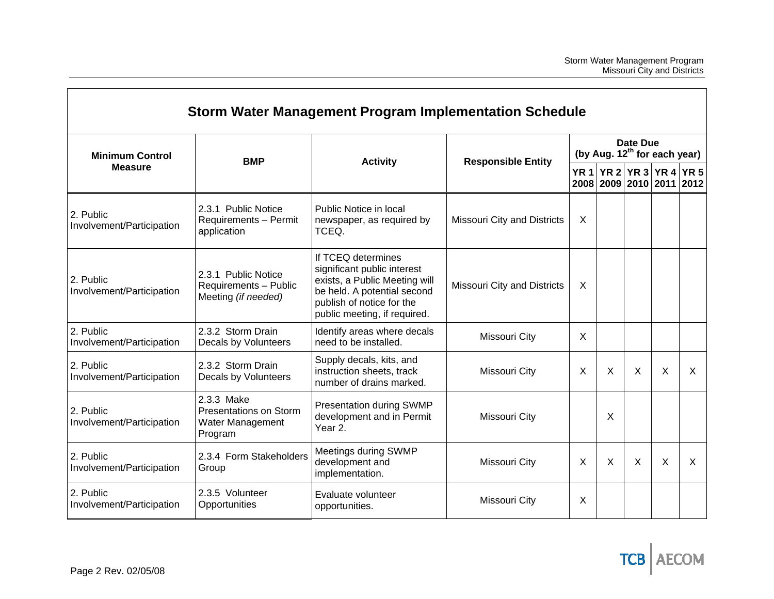|                                          |                                                                     | Storm Water Management Program Implementation Schedule                                                                                                                         |                                    |         |                 |                                          |                                                 |             |
|------------------------------------------|---------------------------------------------------------------------|--------------------------------------------------------------------------------------------------------------------------------------------------------------------------------|------------------------------------|---------|-----------------|------------------------------------------|-------------------------------------------------|-------------|
| <b>Minimum Control</b><br><b>Measure</b> | <b>BMP</b>                                                          | <b>Activity</b>                                                                                                                                                                |                                    |         | <b>Date Due</b> | (by Aug. 12 <sup>th</sup> for each year) |                                                 |             |
|                                          |                                                                     |                                                                                                                                                                                | <b>Responsible Entity</b>          |         |                 |                                          | YR 1 YR 2 YR 3 YR 4<br>2008 2009 2010 2011 2012 | <b>YR 5</b> |
| 2. Public<br>Involvement/Participation   | 2.3.1 Public Notice<br>Requirements - Permit<br>application         | Public Notice in local<br>newspaper, as required by<br>TCEQ.                                                                                                                   | <b>Missouri City and Districts</b> | $\sf X$ |                 |                                          |                                                 |             |
| 2. Public<br>Involvement/Participation   | 2.3.1 Public Notice<br>Requirements - Public<br>Meeting (if needed) | If TCEQ determines<br>significant public interest<br>exists, a Public Meeting will<br>be held. A potential second<br>publish of notice for the<br>public meeting, if required. | <b>Missouri City and Districts</b> | X       |                 |                                          |                                                 |             |
| 2. Public<br>Involvement/Participation   | 2.3.2 Storm Drain<br>Decals by Volunteers                           | Identify areas where decals<br>need to be installed.                                                                                                                           | Missouri City                      | X       |                 |                                          |                                                 |             |
| 2. Public<br>Involvement/Participation   | 2.3.2 Storm Drain<br>Decals by Volunteers                           | Supply decals, kits, and<br>instruction sheets, track<br>number of drains marked.                                                                                              | Missouri City                      | X       | $\times$        | $\times$                                 | X                                               | X           |
| 2. Public<br>Involvement/Participation   | 2.3.3 Make<br>Presentations on Storm<br>Water Management<br>Program | Presentation during SWMP<br>development and in Permit<br>Year 2.                                                                                                               | Missouri City                      |         | X               |                                          |                                                 |             |
| 2. Public<br>Involvement/Participation   | 2.3.4 Form Stakeholders<br>Group                                    | Meetings during SWMP<br>development and<br>implementation.                                                                                                                     | Missouri City                      | X       | $\times$        | X                                        | X                                               | X           |
| 2. Public<br>Involvement/Participation   | 2.3.5 Volunteer<br>Opportunities                                    | Evaluate volunteer<br>opportunities.                                                                                                                                           | Missouri City                      | X       |                 |                                          |                                                 |             |

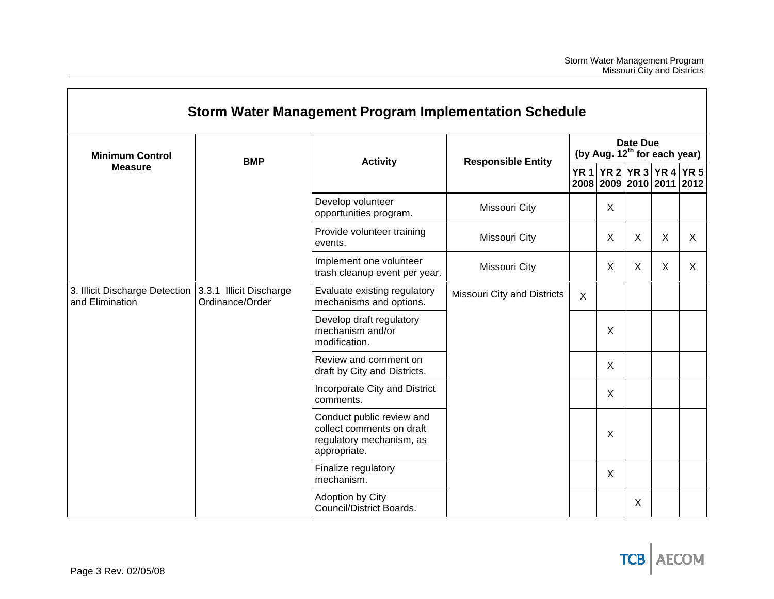|                                                                           |                 | <b>Storm Water Management Program Implementation Schedule</b>                                      |                             |         |                 |          |   |                                                                                                  |
|---------------------------------------------------------------------------|-----------------|----------------------------------------------------------------------------------------------------|-----------------------------|---------|-----------------|----------|---|--------------------------------------------------------------------------------------------------|
| <b>Minimum Control</b>                                                    | <b>BMP</b>      | <b>Responsible Entity</b><br><b>Activity</b>                                                       |                             |         | <b>Date Due</b> |          |   |                                                                                                  |
| <b>Measure</b>                                                            |                 |                                                                                                    |                             |         |                 |          |   |                                                                                                  |
|                                                                           |                 | Develop volunteer<br>opportunities program.                                                        | Missouri City               |         | X               |          |   |                                                                                                  |
|                                                                           |                 | Provide volunteer training<br>events.                                                              | Missouri City               |         | $\times$        | $\times$ | X | X                                                                                                |
|                                                                           |                 | Implement one volunteer<br>trash cleanup event per year.                                           | Missouri City               |         | X               | X        | X | X                                                                                                |
| 3. Illicit Discharge Detection 3.3.1 Illicit Discharge<br>and Elimination | Ordinance/Order | Evaluate existing regulatory<br>mechanisms and options.                                            | Missouri City and Districts | $\sf X$ |                 |          |   |                                                                                                  |
|                                                                           |                 | Develop draft regulatory<br>mechanism and/or<br>modification.                                      |                             |         | X               |          |   | (by Aug. 12 <sup>th</sup> for each year)<br>YR 1 YR 2 YR 3 YR 4 YR 5<br>2008 2009 2010 2011 2012 |
|                                                                           |                 | Review and comment on<br>draft by City and Districts.                                              |                             |         | $\times$        |          |   |                                                                                                  |
|                                                                           |                 | Incorporate City and District<br>comments.                                                         |                             |         | X               |          |   |                                                                                                  |
|                                                                           |                 | Conduct public review and<br>collect comments on draft<br>regulatory mechanism, as<br>appropriate. |                             |         | X               |          |   |                                                                                                  |
|                                                                           |                 | Finalize regulatory<br>mechanism.                                                                  |                             |         | $\sf X$         |          |   |                                                                                                  |
|                                                                           |                 | Adoption by City<br>Council/District Boards.                                                       |                             |         |                 | X        |   |                                                                                                  |

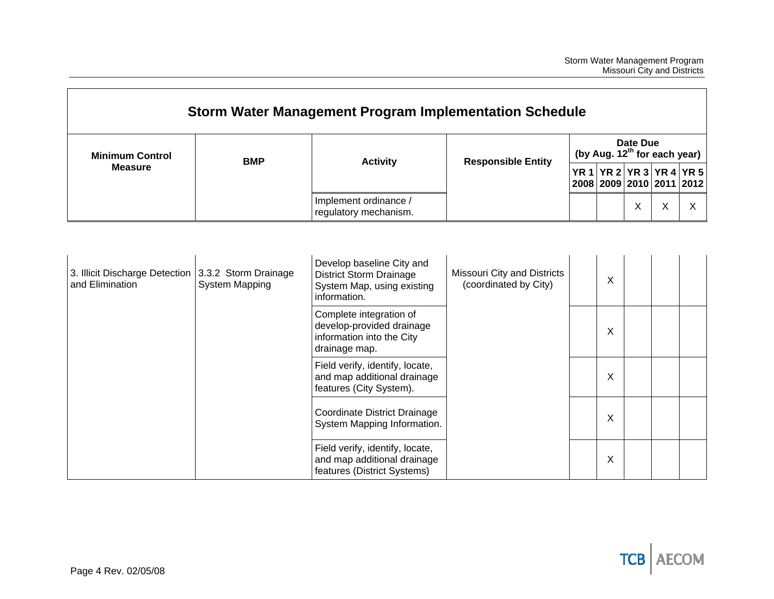|                                                                        |                       | Storm Water Management Program Implementation Schedule                                                                                                                                         |                                                      |                                               |        |   |                                                      |   |  |
|------------------------------------------------------------------------|-----------------------|------------------------------------------------------------------------------------------------------------------------------------------------------------------------------------------------|------------------------------------------------------|-----------------------------------------------|--------|---|------------------------------------------------------|---|--|
| <b>Minimum Control</b>                                                 | <b>BMP</b>            | <b>Activity</b>                                                                                                                                                                                | <b>Responsible Entity</b>                            | Date Due<br>(by Aug. $12^{th}$ for each year) |        |   |                                                      |   |  |
| <b>Measure</b>                                                         |                       |                                                                                                                                                                                                |                                                      |                                               |        |   | YR 1 YR 2 YR 3 YR 4 YR 5<br>2008 2009 2010 2011 2012 |   |  |
|                                                                        |                       | Implement ordinance /<br>regulatory mechanism.                                                                                                                                                 |                                                      |                                               |        | X | X                                                    | X |  |
| 3. Illicit Discharge Detection 3.3.2 Storm Drainage<br>and Elimination | <b>System Mapping</b> | Develop baseline City and<br><b>District Storm Drainage</b><br>System Map, using existing<br>information.<br>Complete integration of<br>develop-provided drainage<br>information into the City | Missouri City and Districts<br>(coordinated by City) |                                               | X<br>X |   |                                                      |   |  |
|                                                                        |                       | drainage map.<br>Field verify, identify, locate,<br>and map additional drainage                                                                                                                |                                                      |                                               | X      |   |                                                      |   |  |
|                                                                        |                       | features (City System).<br>Coordinate District Drainage<br>System Mapping Information.                                                                                                         |                                                      |                                               | X      |   |                                                      |   |  |
|                                                                        |                       | Field verify, identify, locate,<br>and map additional drainage                                                                                                                                 |                                                      |                                               | X      |   |                                                      |   |  |

features (District Systems)

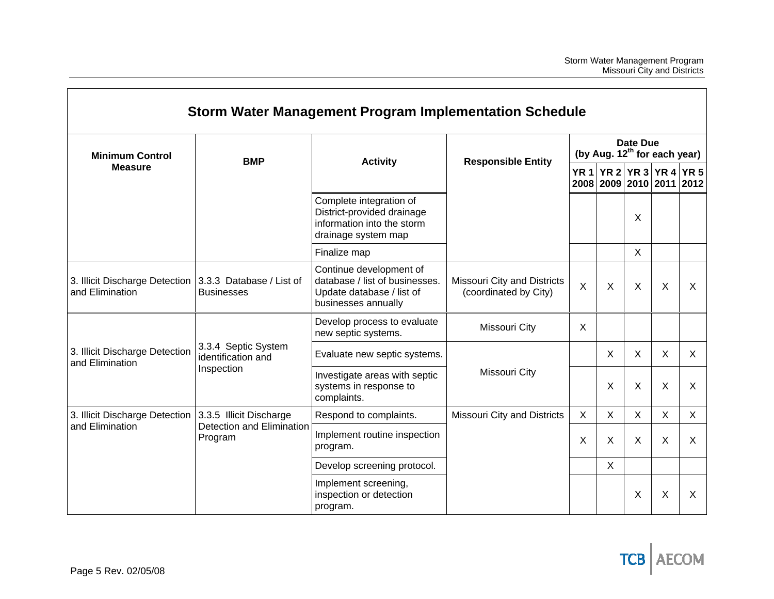|                                                                              |                                           | Storm Water Management Program Implementation Schedule                                                        |                                                      |                                               |              |          |                                                  |             |  |  |
|------------------------------------------------------------------------------|-------------------------------------------|---------------------------------------------------------------------------------------------------------------|------------------------------------------------------|-----------------------------------------------|--------------|----------|--------------------------------------------------|-------------|--|--|
| <b>Minimum Control</b>                                                       | <b>BMP</b>                                | <b>Activity</b>                                                                                               | <b>Responsible Entity</b>                            | Date Due<br>(by Aug. $12^{th}$ for each year) |              |          |                                                  |             |  |  |
| <b>Measure</b>                                                               |                                           |                                                                                                               |                                                      |                                               |              |          | YR 1 YR 2 YR 3 YR 4 <br>2008 2009 2010 2011 2012 | <b>YR 5</b> |  |  |
|                                                                              |                                           | Complete integration of<br>District-provided drainage<br>information into the storm<br>drainage system map    |                                                      |                                               |              | X        |                                                  |             |  |  |
|                                                                              |                                           | Finalize map                                                                                                  |                                                      |                                               |              | $\sf X$  |                                                  |             |  |  |
| 3. Illicit Discharge Detection   3.3.3 Database / List of<br>and Elimination | <b>Businesses</b>                         | Continue development of<br>database / list of businesses.<br>Update database / list of<br>businesses annually | Missouri City and Districts<br>(coordinated by City) | $\times$                                      | $\times$     | $\times$ | $\sf X$                                          | X           |  |  |
|                                                                              |                                           | Develop process to evaluate<br>new septic systems.                                                            | Missouri City                                        | X                                             |              |          |                                                  |             |  |  |
| 3. Illicit Discharge Detection<br>and Elimination                            | 3.3.4 Septic System<br>identification and | Evaluate new septic systems.                                                                                  |                                                      |                                               | X            | X        | X                                                | $\times$    |  |  |
|                                                                              | Inspection                                | Investigate areas with septic<br>systems in response to<br>complaints.                                        | Missouri City                                        |                                               | X            | X        | X                                                | $\sf X$     |  |  |
| 3. Illicit Discharge Detection                                               | 3.3.5 Illicit Discharge                   | Respond to complaints.                                                                                        | Missouri City and Districts                          | $\pmb{\times}$                                | $\mathsf{X}$ | X        | $\mathsf{X}$                                     | X           |  |  |
| and Elimination                                                              | Detection and Elimination<br>Program      | Implement routine inspection<br>program.                                                                      |                                                      | $\times$                                      | $\sf X$      | X        | X                                                | $\times$    |  |  |
|                                                                              |                                           | Develop screening protocol.                                                                                   |                                                      |                                               | $\sf X$      |          |                                                  |             |  |  |
|                                                                              |                                           | Implement screening,<br>inspection or detection<br>program.                                                   |                                                      |                                               |              | X        | X                                                | X           |  |  |

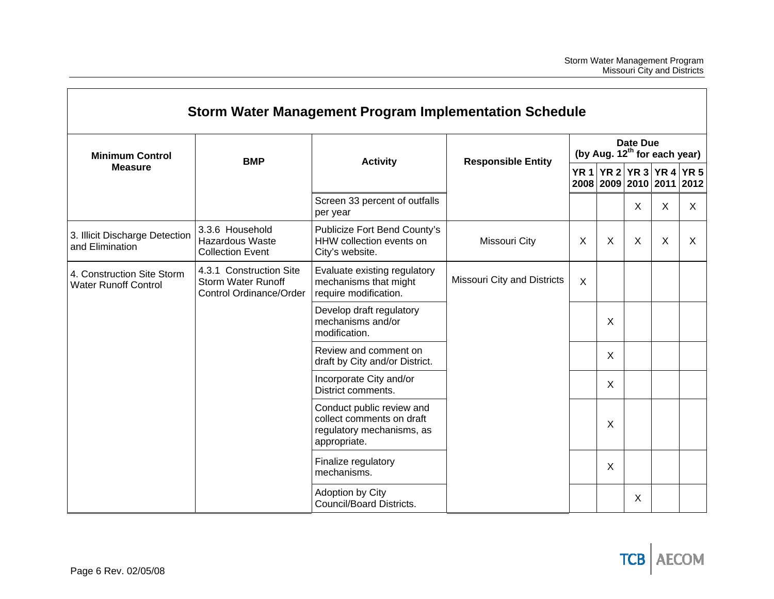|                                                           |                                                                                 | <b>Storm Water Management Program Implementation Schedule</b>                                       |                                    |                                                             |                                                      |   |   |   |  |
|-----------------------------------------------------------|---------------------------------------------------------------------------------|-----------------------------------------------------------------------------------------------------|------------------------------------|-------------------------------------------------------------|------------------------------------------------------|---|---|---|--|
| <b>Minimum Control</b>                                    | <b>BMP</b>                                                                      | <b>Activity</b>                                                                                     | <b>Responsible Entity</b>          | <b>Date Due</b><br>(by Aug. 12 <sup>th</sup> for each year) |                                                      |   |   |   |  |
| <b>Measure</b>                                            |                                                                                 |                                                                                                     |                                    |                                                             | YR 1 YR 2 YR 3 YR 4 YR 5<br>2008 2009 2010 2011 2012 |   |   |   |  |
|                                                           |                                                                                 | Screen 33 percent of outfalls<br>per year                                                           |                                    |                                                             |                                                      | X | X | X |  |
| 3. Illicit Discharge Detection<br>and Elimination         | 3.3.6 Household<br><b>Hazardous Waste</b><br><b>Collection Event</b>            | Publicize Fort Bend County's<br>HHW collection events on<br>City's website.                         | Missouri City                      | X                                                           | X                                                    | X | X | X |  |
| 4. Construction Site Storm<br><b>Water Runoff Control</b> | 4.3.1 Construction Site<br><b>Storm Water Runoff</b><br>Control Ordinance/Order | Evaluate existing regulatory<br>mechanisms that might<br>require modification.                      | <b>Missouri City and Districts</b> | $\sf X$                                                     |                                                      |   |   |   |  |
|                                                           |                                                                                 | Develop draft regulatory<br>mechanisms and/or<br>modification.                                      |                                    |                                                             | X                                                    |   |   |   |  |
|                                                           |                                                                                 | Review and comment on<br>draft by City and/or District.                                             |                                    |                                                             | X                                                    |   |   |   |  |
|                                                           |                                                                                 | Incorporate City and/or<br>District comments.                                                       |                                    |                                                             | X                                                    |   |   |   |  |
|                                                           |                                                                                 | Conduct public review and<br>collect comments on draft<br>regulatory mechanisms, as<br>appropriate. |                                    |                                                             | X                                                    |   |   |   |  |
|                                                           |                                                                                 | Finalize regulatory<br>mechanisms.                                                                  |                                    |                                                             | X                                                    |   |   |   |  |
|                                                           |                                                                                 | Adoption by City<br>Council/Board Districts.                                                        |                                    |                                                             |                                                      | X |   |   |  |

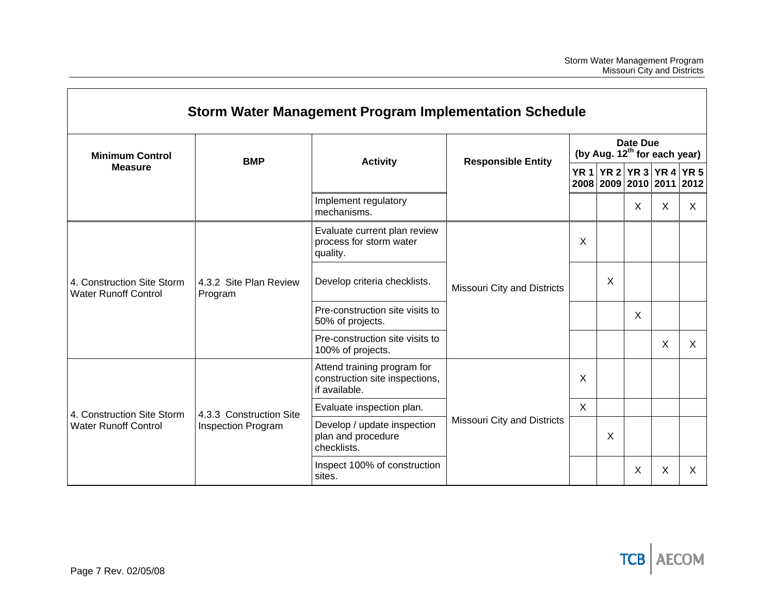|                                                           |                                   | Storm Water Management Program Implementation Schedule                         |                                                      |   |   |          |                                                                       |          |
|-----------------------------------------------------------|-----------------------------------|--------------------------------------------------------------------------------|------------------------------------------------------|---|---|----------|-----------------------------------------------------------------------|----------|
| <b>Minimum Control</b>                                    | <b>BMP</b>                        | <b>Activity</b>                                                                | Date Due<br>(by Aug. 12 <sup>th</sup> for each year) |   |   |          |                                                                       |          |
| <b>Measure</b>                                            |                                   |                                                                                | <b>Responsible Entity</b>                            |   |   |          |                                                                       |          |
|                                                           |                                   | Implement regulatory<br>mechanisms.                                            |                                                      |   |   | $\times$ | X                                                                     | $\times$ |
| 4. Construction Site Storm<br><b>Water Runoff Control</b> |                                   | Evaluate current plan review<br>process for storm water<br>quality.            |                                                      | X |   |          |                                                                       |          |
|                                                           | 4.3.2 Site Plan Review<br>Program | Develop criteria checklists.                                                   | X<br>Missouri City and Districts                     |   |   |          |                                                                       |          |
|                                                           |                                   | Pre-construction site visits to<br>50% of projects.                            |                                                      | X |   |          |                                                                       |          |
|                                                           |                                   | Pre-construction site visits to<br>100% of projects.                           |                                                      |   |   |          | YR 1 YR 2 YR 3 YR 4 YR 5<br>2008 2009 2010 2011 2012<br>X<br>$\times$ |          |
|                                                           |                                   | Attend training program for<br>construction site inspections,<br>if available. |                                                      | X |   |          |                                                                       |          |
| 4. Construction Site Storm                                | 4.3.3 Construction Site           | Evaluate inspection plan.                                                      |                                                      | X |   |          |                                                                       |          |
| <b>Water Runoff Control</b>                               | <b>Inspection Program</b>         | Develop / update inspection<br>plan and procedure<br>checklists.               | Missouri City and Districts                          |   | X |          |                                                                       |          |
|                                                           |                                   | Inspect 100% of construction<br>sites.                                         |                                                      |   |   | X        | Χ                                                                     | X        |

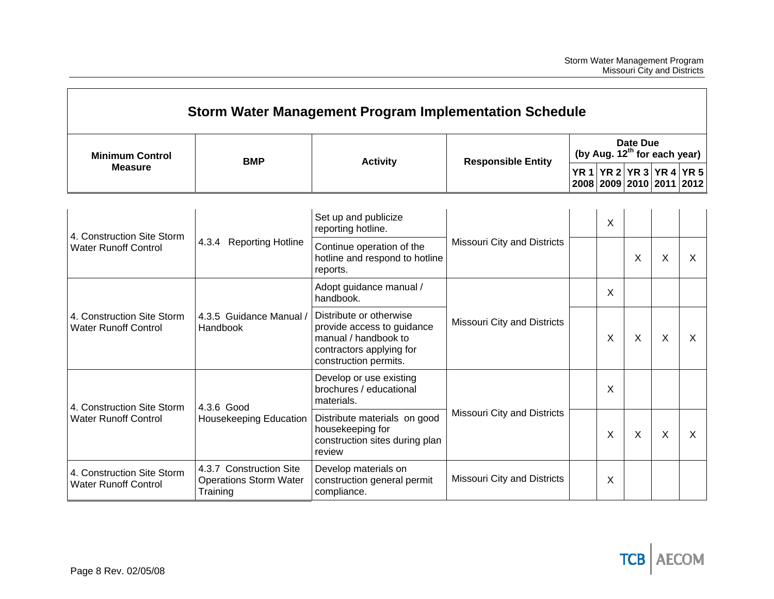|                                                           |                                                                      | Storm Water Management Program Implementation Schedule                                                                             |                                    |                                                      |         |          |          |                                                      |  |
|-----------------------------------------------------------|----------------------------------------------------------------------|------------------------------------------------------------------------------------------------------------------------------------|------------------------------------|------------------------------------------------------|---------|----------|----------|------------------------------------------------------|--|
| <b>Minimum Control</b>                                    | <b>BMP</b>                                                           | <b>Responsible Entity</b><br><b>Activity</b>                                                                                       |                                    | Date Due<br>(by Aug. 12 <sup>th</sup> for each year) |         |          |          |                                                      |  |
| <b>Measure</b>                                            |                                                                      |                                                                                                                                    |                                    |                                                      |         |          |          | YR 1 YR 2 YR 3 YR 4 YR 5<br>2008 2009 2010 2011 2012 |  |
| 4. Construction Site Storm                                |                                                                      | Set up and publicize<br>reporting hotline.                                                                                         |                                    |                                                      | X       |          |          |                                                      |  |
| <b>Water Runoff Control</b>                               | 4.3.4 Reporting Hotline                                              | Continue operation of the<br>hotline and respond to hotline<br>reports.                                                            | <b>Missouri City and Districts</b> |                                                      |         | $\times$ | X        | X                                                    |  |
| 4. Construction Site Storm<br><b>Water Runoff Control</b> |                                                                      | Adopt guidance manual /<br>handbook.                                                                                               |                                    |                                                      | X       |          |          |                                                      |  |
|                                                           | 4.3.5 Guidance Manual /<br>Handbook                                  | Distribute or otherwise<br>provide access to guidance<br>manual / handbook to<br>contractors applying for<br>construction permits. | <b>Missouri City and Districts</b> |                                                      | $\sf X$ | $\times$ | $\times$ | $\times$                                             |  |
| 4. Construction Site Storm                                | 4.3.6 Good                                                           | Develop or use existing<br>brochures / educational<br>materials.                                                                   |                                    |                                                      | X       |          |          |                                                      |  |
| <b>Water Runoff Control</b>                               | <b>Housekeeping Education</b>                                        | Distribute materials on good<br>housekeeping for<br>construction sites during plan<br>review                                       | <b>Missouri City and Districts</b> |                                                      | X       | $\times$ | $\times$ | $\sf X$                                              |  |
| 4. Construction Site Storm<br><b>Water Runoff Control</b> | 4.3.7 Construction Site<br><b>Operations Storm Water</b><br>Training | Develop materials on<br>construction general permit<br>compliance.                                                                 | <b>Missouri City and Districts</b> |                                                      | Χ       |          |          |                                                      |  |

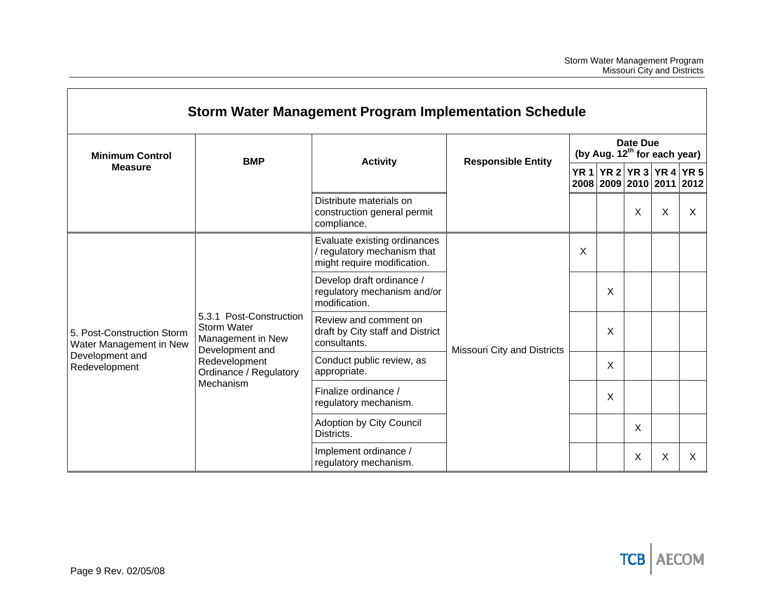|                                                       |                                                                                | Storm Water Management Program Implementation Schedule                                     |                                                                           |                                                             |                                                      |   |   |   |  |  |  |
|-------------------------------------------------------|--------------------------------------------------------------------------------|--------------------------------------------------------------------------------------------|---------------------------------------------------------------------------|-------------------------------------------------------------|------------------------------------------------------|---|---|---|--|--|--|
| <b>Minimum Control</b>                                |                                                                                | <b>Activity</b><br><b>Responsible Entity</b>                                               |                                                                           | <b>Date Due</b><br>(by Aug. 12 <sup>th</sup> for each year) |                                                      |   |   |   |  |  |  |
| <b>Measure</b>                                        | <b>BMP</b>                                                                     |                                                                                            |                                                                           |                                                             | YR 1 YR 2 YR 3 YR 4 YR 5<br>2008 2009 2010 2011 2012 |   |   |   |  |  |  |
|                                                       |                                                                                | Distribute materials on<br>construction general permit<br>compliance.                      |                                                                           |                                                             |                                                      | X | X | X |  |  |  |
|                                                       |                                                                                | Evaluate existing ordinances<br>/ regulatory mechanism that<br>might require modification. |                                                                           | X                                                           |                                                      |   |   |   |  |  |  |
|                                                       |                                                                                |                                                                                            | Develop draft ordinance /<br>regulatory mechanism and/or<br>modification. |                                                             |                                                      | X |   |   |  |  |  |
| 5. Post-Construction Storm<br>Water Management in New | 5.3.1 Post-Construction<br>Storm Water<br>Management in New<br>Development and | Review and comment on<br>draft by City staff and District<br>consultants.                  | Missouri City and Districts                                               |                                                             | $\sf X$                                              |   |   |   |  |  |  |
| Development and<br>Redevelopment                      | Redevelopment<br>Ordinance / Regulatory                                        | Conduct public review, as<br>appropriate.                                                  |                                                                           |                                                             | $\sf X$                                              |   |   |   |  |  |  |
|                                                       | Mechanism                                                                      | Finalize ordinance /<br>regulatory mechanism.                                              |                                                                           |                                                             | X                                                    |   |   |   |  |  |  |
|                                                       |                                                                                |                                                                                            | Adoption by City Council<br>Districts.                                    |                                                             |                                                      |   | X |   |  |  |  |
|                                                       |                                                                                | Implement ordinance /<br>regulatory mechanism.                                             |                                                                           |                                                             |                                                      | X | X | X |  |  |  |

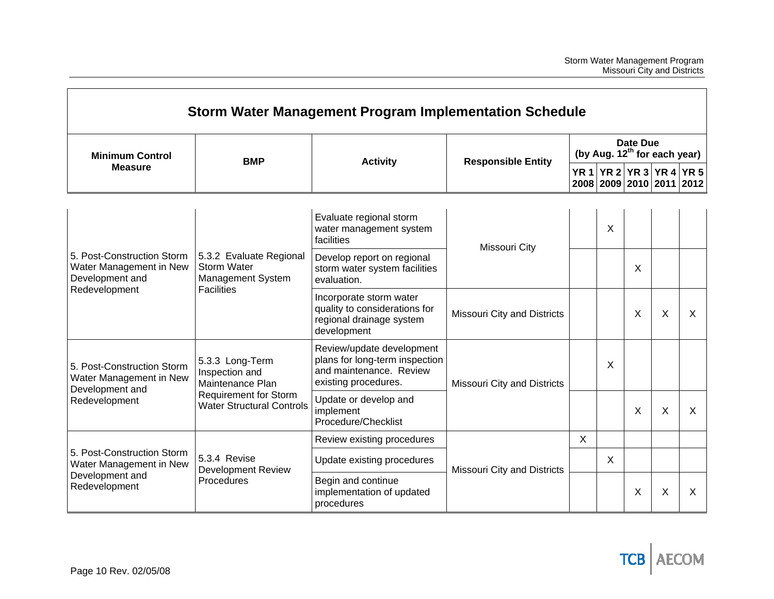| Storm Water Management Program Implementation Schedule                                    |                                                                                                                           |                                                                                                                |                             |                                                      |                                                      |          |   |   |  |  |
|-------------------------------------------------------------------------------------------|---------------------------------------------------------------------------------------------------------------------------|----------------------------------------------------------------------------------------------------------------|-----------------------------|------------------------------------------------------|------------------------------------------------------|----------|---|---|--|--|
| <b>Minimum Control</b>                                                                    | <b>BMP</b>                                                                                                                | <b>Responsible Entity</b><br><b>Activity</b>                                                                   |                             | Date Due<br>(by Aug. 12 <sup>th</sup> for each year) |                                                      |          |   |   |  |  |
| <b>Measure</b>                                                                            |                                                                                                                           |                                                                                                                |                             |                                                      | YR 1 YR 2 YR 3 YR 4 YR 5<br>2008 2009 2010 2011 2012 |          |   |   |  |  |
| 5. Post-Construction Storm<br>Water Management in New<br>Development and<br>Redevelopment |                                                                                                                           | Evaluate regional storm<br>water management system<br>facilities                                               | Missouri City               |                                                      | X                                                    |          |   |   |  |  |
|                                                                                           | 5.3.2 Evaluate Regional<br><b>Storm Water</b><br>Management System<br><b>Facilities</b>                                   | Develop report on regional<br>storm water system facilities<br>evaluation.                                     |                             |                                                      |                                                      | X        |   |   |  |  |
|                                                                                           |                                                                                                                           | Incorporate storm water<br>quality to considerations for<br>regional drainage system<br>development            | Missouri City and Districts |                                                      |                                                      | X        | X | X |  |  |
| 5. Post-Construction Storm<br>Water Management in New                                     | 5.3.3 Long-Term<br>Inspection and<br>Maintenance Plan<br><b>Requirement for Storm</b><br><b>Water Structural Controls</b> | Review/update development<br>plans for long-term inspection<br>and maintenance. Review<br>existing procedures. | Missouri City and Districts |                                                      | X                                                    |          |   |   |  |  |
| Development and<br>Redevelopment                                                          |                                                                                                                           | Update or develop and<br>implement<br>Procedure/Checklist                                                      |                             |                                                      |                                                      | $\times$ | X | X |  |  |
|                                                                                           |                                                                                                                           | Review existing procedures                                                                                     |                             | $\sf X$                                              |                                                      |          |   |   |  |  |
| 5. Post-Construction Storm<br>Water Management in New                                     | 5.3.4 Revise<br><b>Development Review</b>                                                                                 | Update existing procedures                                                                                     | Missouri City and Districts |                                                      | X                                                    |          |   |   |  |  |
| Development and<br>Redevelopment                                                          | Procedures                                                                                                                | Begin and continue<br>implementation of updated<br>procedures                                                  |                             |                                                      |                                                      | X        | X | X |  |  |

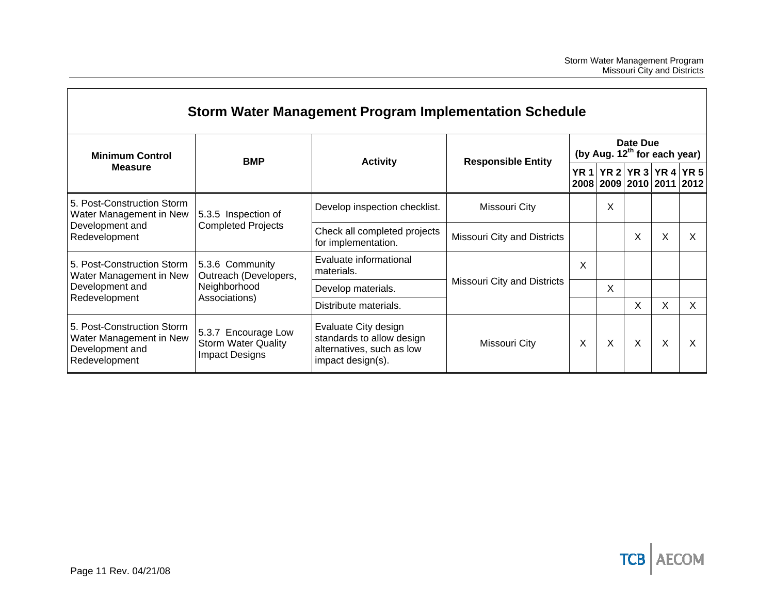|                                                                                           |                                                                     | Storm Water Management Program Implementation Schedule                                              |                             |                     |                                   |          |                                            |    |
|-------------------------------------------------------------------------------------------|---------------------------------------------------------------------|-----------------------------------------------------------------------------------------------------|-----------------------------|---------------------|-----------------------------------|----------|--------------------------------------------|----|
| <b>Minimum Control</b>                                                                    | <b>BMP</b>                                                          | <b>Activity</b>                                                                                     | <b>Responsible Entity</b>   |                     | (by Aug. $12^{th}$ for each year) | Date Due |                                            |    |
| <b>Measure</b>                                                                            |                                                                     |                                                                                                     |                             | <b>YR 1</b><br>2008 |                                   |          | YR 2 YR 3 YR 4 YR 5<br>2009 2010 2011 2012 |    |
| 5. Post-Construction Storm<br>Water Management in New<br>Development and<br>Redevelopment | 5.3.5 Inspection of<br><b>Completed Projects</b>                    | Develop inspection checklist.                                                                       | Missouri City               |                     | X                                 |          |                                            |    |
|                                                                                           |                                                                     | Check all completed projects<br>for implementation.                                                 | Missouri City and Districts |                     |                                   | X        | X                                          | х  |
| 5. Post-Construction Storm<br>Water Management in New                                     | 5.3.6 Community<br>Outreach (Developers,                            | Evaluate informational<br>materials.                                                                |                             | Χ                   |                                   |          |                                            |    |
| Development and                                                                           | Neighborhood                                                        | Develop materials.                                                                                  | Missouri City and Districts |                     | X                                 |          |                                            |    |
| Redevelopment                                                                             | Associations)                                                       | Distribute materials.                                                                               |                             |                     |                                   | X        | X                                          | X. |
| 5. Post-Construction Storm<br>Water Management in New<br>Development and<br>Redevelopment | 5.3.7 Encourage Low<br><b>Storm Water Quality</b><br>Impact Designs | Evaluate City design<br>standards to allow design<br>alternatives, such as low<br>impact design(s). | Missouri City               | X                   | X                                 | X        | X                                          | X  |

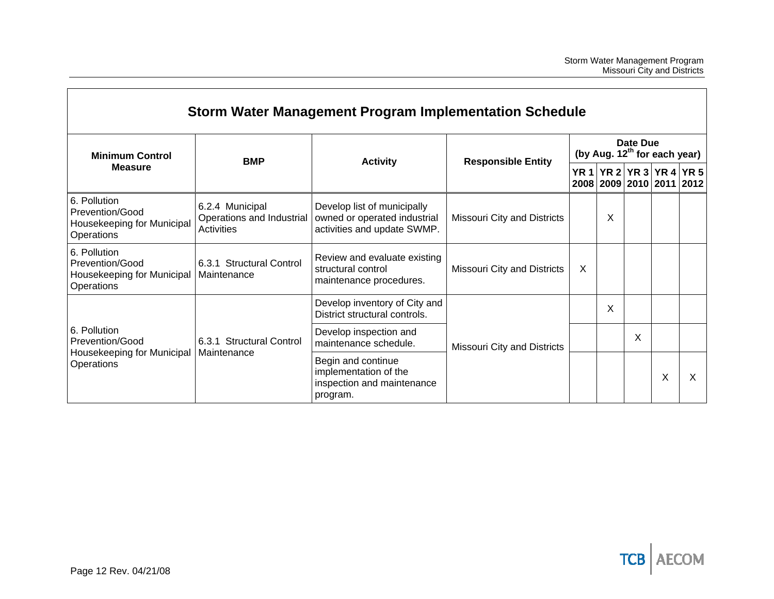| <b>Minimum Control</b>                                                      | Storm Water Management Program Implementation Schedule     |                                                                                            | <b>Responsible Entity</b>   |                     |   |                |                | (by Aug. 12 <sup>th</sup> for each year) |
|-----------------------------------------------------------------------------|------------------------------------------------------------|--------------------------------------------------------------------------------------------|-----------------------------|---------------------|---|----------------|----------------|------------------------------------------|
| <b>Measure</b>                                                              | <b>BMP</b>                                                 | <b>Activity</b>                                                                            |                             | <b>YR 1</b><br>2008 |   | 2009 2010 2011 | YR 2 YR 3 YR 4 | <b>YR 5</b><br>2012                      |
| 6. Pollution<br>Prevention/Good<br>Housekeeping for Municipal<br>Operations | 6.2.4 Municipal<br>Operations and Industrial<br>Activities | Develop list of municipally<br>owned or operated industrial<br>activities and update SWMP. | Missouri City and Districts |                     | X |                |                |                                          |
| 6. Pollution<br>Prevention/Good<br>Housekeeping for Municipal<br>Operations | 6.3.1 Structural Control<br>Maintenance                    | Review and evaluate existing<br>structural control<br>maintenance procedures.              | Missouri City and Districts | X                   |   |                |                |                                          |
|                                                                             |                                                            | Develop inventory of City and<br>District structural controls.                             |                             |                     | X |                |                |                                          |
| 6. Pollution<br>Prevention/Good                                             | 6.3.1 Structural Control                                   | Develop inspection and<br>maintenance schedule.                                            | Missouri City and Districts |                     |   | X              |                |                                          |
| Housekeeping for Municipal<br>Operations                                    | Maintenance                                                | Begin and continue<br>implementation of the<br>inspection and maintenance<br>program.      |                             |                     |   |                | X              | X                                        |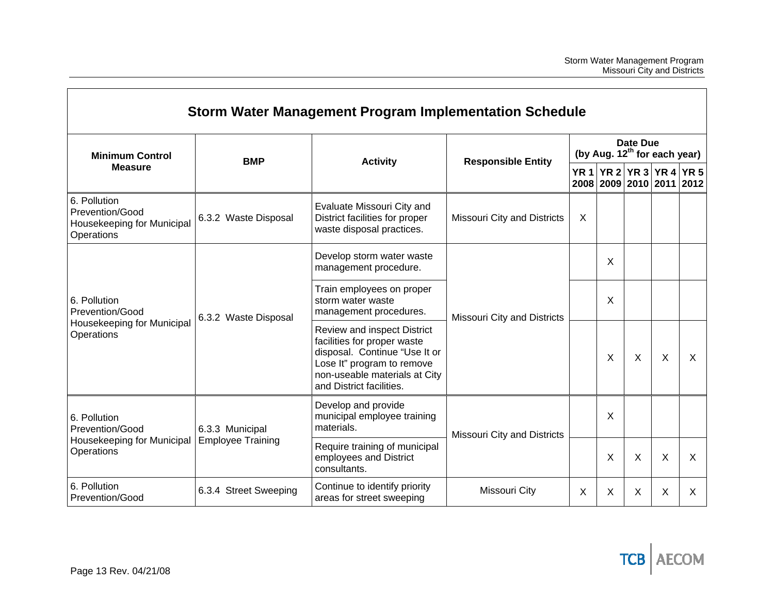|                                                                             |                          | Storm Water Management Program Implementation Schedule                                                                                                                                 |                             |             |          |                                          |                                                 |              |
|-----------------------------------------------------------------------------|--------------------------|----------------------------------------------------------------------------------------------------------------------------------------------------------------------------------------|-----------------------------|-------------|----------|------------------------------------------|-------------------------------------------------|--------------|
| <b>Minimum Control</b>                                                      | <b>BMP</b>               | <b>Activity</b>                                                                                                                                                                        |                             |             | Date Due | (by Aug. 12 <sup>th</sup> for each year) |                                                 |              |
| <b>Measure</b>                                                              |                          |                                                                                                                                                                                        | <b>Responsible Entity</b>   | <b>YR 1</b> |          |                                          | YR 2 YR 3 YR 4 YR 5<br>2008 2009 2010 2011 2012 |              |
| 6. Pollution<br>Prevention/Good<br>Housekeeping for Municipal<br>Operations | 6.3.2 Waste Disposal     | Evaluate Missouri City and<br>District facilities for proper<br>waste disposal practices.                                                                                              | Missouri City and Districts | X           |          |                                          |                                                 |              |
| 6. Pollution<br>Prevention/Good<br>Housekeeping for Municipal<br>Operations |                          | Develop storm water waste<br>management procedure.                                                                                                                                     |                             |             | X        |                                          |                                                 |              |
|                                                                             | 6.3.2 Waste Disposal     | Train employees on proper<br>storm water waste<br>management procedures.                                                                                                               | Missouri City and Districts |             | X        |                                          |                                                 |              |
|                                                                             |                          | Review and inspect District<br>facilities for proper waste<br>disposal. Continue "Use It or<br>Lose It" program to remove<br>non-useable materials at City<br>and District facilities. |                             |             | X        | X                                        | X                                               | X            |
| 6. Pollution<br>Prevention/Good                                             | 6.3.3 Municipal          | Develop and provide<br>municipal employee training<br>materials.                                                                                                                       | Missouri City and Districts |             | X        |                                          |                                                 |              |
| Housekeeping for Municipal<br>Operations                                    | <b>Employee Training</b> | Require training of municipal<br>employees and District<br>consultants.                                                                                                                |                             |             | X        | X                                        | Χ                                               | $\mathsf{x}$ |
| 6. Pollution<br>Prevention/Good                                             | 6.3.4 Street Sweeping    | Continue to identify priority<br>areas for street sweeping                                                                                                                             | Missouri City               | $\sf X$     | $\sf X$  | X                                        | X                                               | X            |

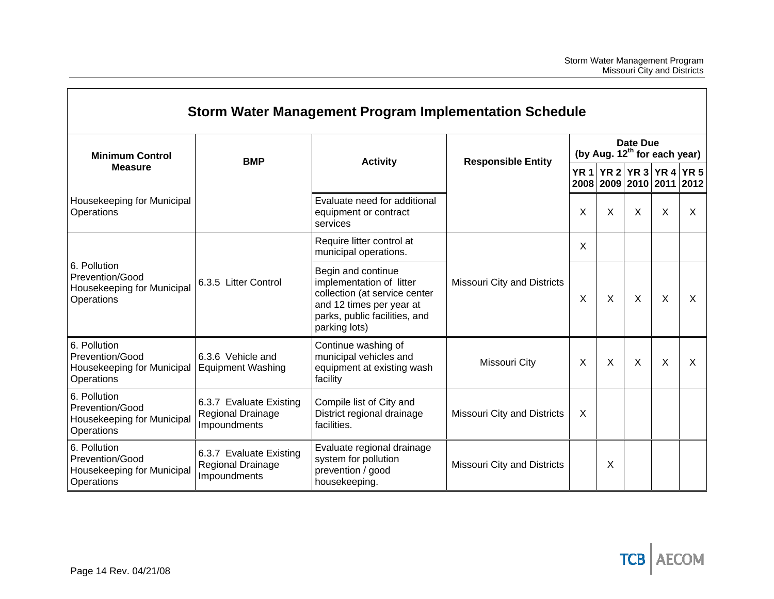|                                                                             |                                                                                                                                                                                       | Storm Water Management Program Implementation Schedule                                   |                                    |          |          |                                          |                                                           |      |
|-----------------------------------------------------------------------------|---------------------------------------------------------------------------------------------------------------------------------------------------------------------------------------|------------------------------------------------------------------------------------------|------------------------------------|----------|----------|------------------------------------------|-----------------------------------------------------------|------|
| <b>Minimum Control</b>                                                      | <b>BMP</b>                                                                                                                                                                            | <b>Activity</b>                                                                          |                                    |          | Date Due | (by Aug. 12 <sup>th</sup> for each year) |                                                           |      |
| <b>Measure</b>                                                              |                                                                                                                                                                                       |                                                                                          | <b>Responsible Entity</b>          |          |          |                                          | YR 1   YR 2   YR 3   YR 4   YR 5  <br>2008 2009 2010 2011 | 2012 |
| Housekeeping for Municipal<br>Operations                                    |                                                                                                                                                                                       | Evaluate need for additional<br>equipment or contract<br>services                        |                                    | X        | X        | X                                        | Χ                                                         | X    |
| 6. Pollution<br>Prevention/Good<br>Housekeeping for Municipal<br>Operations |                                                                                                                                                                                       | Require litter control at<br>municipal operations.                                       |                                    | X        |          |                                          |                                                           |      |
|                                                                             | Begin and continue<br>implementation of litter<br>6.3.5 Litter Control<br>collection (at service center<br>and 12 times per year at<br>parks, public facilities, and<br>parking lots) | <b>Missouri City and Districts</b>                                                       | X                                  | $\times$ | $\sf X$  | X                                        | $\boldsymbol{\mathsf{X}}$                                 |      |
| 6. Pollution<br>Prevention/Good<br>Housekeeping for Municipal<br>Operations | 6.3.6 Vehicle and<br><b>Equipment Washing</b>                                                                                                                                         | Continue washing of<br>municipal vehicles and<br>equipment at existing wash<br>facility  | Missouri City                      | X        | X        | X                                        | X                                                         | X    |
| 6. Pollution<br>Prevention/Good<br>Housekeeping for Municipal<br>Operations | 6.3.7 Evaluate Existing<br>Regional Drainage<br>Impoundments                                                                                                                          | Compile list of City and<br>District regional drainage<br>facilities.                    | <b>Missouri City and Districts</b> | X        |          |                                          |                                                           |      |
| 6. Pollution<br>Prevention/Good<br>Housekeeping for Municipal<br>Operations | 6.3.7 Evaluate Existing<br>Regional Drainage<br>Impoundments                                                                                                                          | Evaluate regional drainage<br>system for pollution<br>prevention / good<br>housekeeping. | Missouri City and Districts        |          | X        |                                          |                                                           |      |

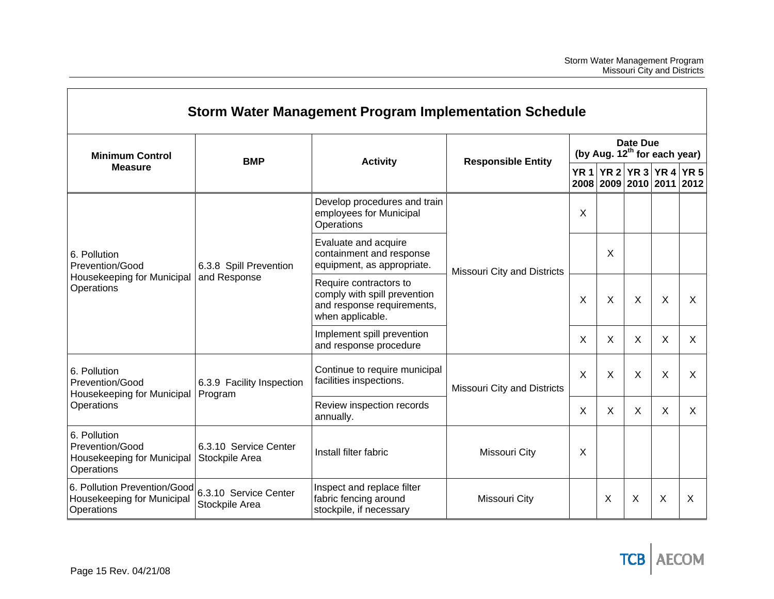| <b>Storm Water Management Program Implementation Schedule</b>               |                                         |                                                                                                          |                                    |             |                                                      |              |                                            |      |  |  |
|-----------------------------------------------------------------------------|-----------------------------------------|----------------------------------------------------------------------------------------------------------|------------------------------------|-------------|------------------------------------------------------|--------------|--------------------------------------------|------|--|--|
| <b>Minimum Control</b>                                                      |                                         | <b>BMP</b><br><b>Activity</b>                                                                            | <b>Responsible Entity</b>          |             | Date Due<br>(by Aug. 12 <sup>th</sup> for each year) |              |                                            |      |  |  |
| <b>Measure</b>                                                              |                                         |                                                                                                          |                                    | <b>YR 1</b> |                                                      |              | YR 2 YR 3 YR 4 YR 5<br>2008 2009 2010 2011 | 2012 |  |  |
| 6. Pollution<br>Prevention/Good<br>Housekeeping for Municipal<br>Operations |                                         | Develop procedures and train<br>employees for Municipal<br>Operations                                    |                                    | X           |                                                      |              |                                            |      |  |  |
|                                                                             | 6.3.8 Spill Prevention                  | Evaluate and acquire<br>containment and response<br>equipment, as appropriate.                           | <b>Missouri City and Districts</b> | X           |                                                      |              |                                            |      |  |  |
|                                                                             | and Response                            | Require contractors to<br>comply with spill prevention<br>and response requirements,<br>when applicable. |                                    | X           | X                                                    | X            | X                                          | X    |  |  |
|                                                                             |                                         | Implement spill prevention<br>and response procedure                                                     |                                    | X           | X                                                    | $\mathsf{X}$ | X                                          | X    |  |  |
| 6. Pollution<br>Prevention/Good<br>Housekeeping for Municipal               | 6.3.9 Facility Inspection<br>Program    | Continue to require municipal<br>facilities inspections.                                                 | <b>Missouri City and Districts</b> | $\sf X$     | X                                                    | X            | X                                          | X    |  |  |
| Operations                                                                  |                                         | Review inspection records<br>annually.                                                                   |                                    | X           | X                                                    | X            | X                                          | X    |  |  |
| 6. Pollution<br>Prevention/Good<br>Housekeeping for Municipal<br>Operations | 6.3.10 Service Center<br>Stockpile Area | Install filter fabric                                                                                    | Missouri City                      | X           |                                                      |              |                                            |      |  |  |
| 6. Pollution Prevention/Good<br>Housekeeping for Municipal<br>Operations    | 6.3.10 Service Center<br>Stockpile Area | Inspect and replace filter<br>fabric fencing around<br>stockpile, if necessary                           | Missouri City                      |             | X                                                    | X            | X                                          | X    |  |  |